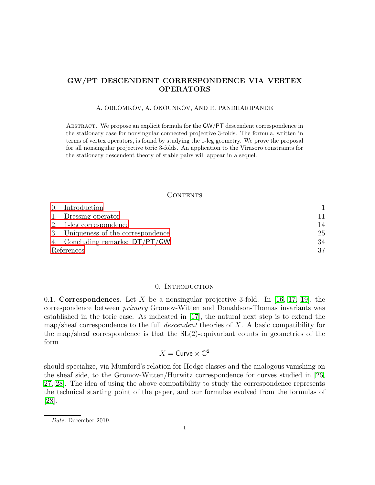### GW/PT DESCENDENT CORRESPONDENCE VIA VERTEX OPERATORS

#### A. OBLOMKOV, A. OKOUNKOV, AND R. PANDHARIPANDE

Abstract. We propose an explicit formula for the GW/PT descendent correspondence in the stationary case for nonsingular connected projective 3-folds. The formula, written in terms of vertex operators, is found by studying the 1-leg geometry. We prove the proposal for all nonsingular projective toric 3-folds. An application to the Virasoro constraints for the stationary descendent theory of stable pairs will appear in a sequel.

#### **CONTENTS**

|            | 0. Introduction                     |    |
|------------|-------------------------------------|----|
|            | 1. Dressing operator                | 11 |
|            | 2. 1-leg correspondence             | 14 |
|            | 3. Uniqueness of the correspondence | 25 |
|            | 4. Concluding remarks: DT/PT/GW     | 34 |
| References |                                     | 37 |

#### 0. Introduction

<span id="page-0-1"></span><span id="page-0-0"></span>0.1. Correspondences. Let X be a nonsingular projective 3-fold. In [\[16,](#page-36-1) [17,](#page-36-2) [19\]](#page-37-0), the correspondence between primary Gromov-Witten and Donaldson-Thomas invariants was established in the toric case. As indicated in [\[17\]](#page-36-2), the natural next step is to extend the map/sheaf correspondence to the full *descendent* theories of  $X$ . A basic compatibility for the map/sheaf correspondence is that the  $SL(2)$ -equivariant counts in geometries of the form

# $X =$  Curve  $\times \mathbb{C}^2$

should specialize, via Mumford's relation for Hodge classes and the analogous vanishing on the sheaf side, to the Gromov-Witten/Hurwitz correspondence for curves studied in [26, [27,](#page-37-1) [28\]](#page-37-2). The idea of using the above compatibility to study the correspondence represents the technical starting point of the paper, and our formulas evolved from the formulas of [\[28\]](#page-37-2).

*Date*: December 2019.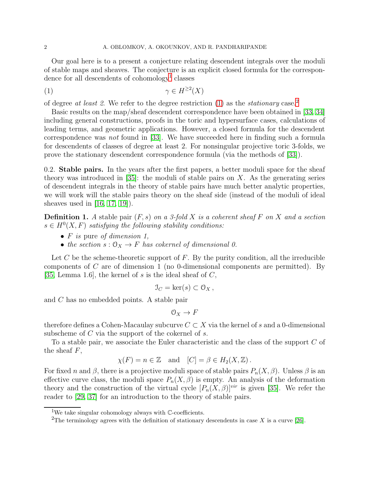Our goal here is to a present a conjecture relating descendent integrals over the moduli of stable maps and sheaves. The conjecture is an explicit closed formula for the correspon-dence for all descendents of cohomology<sup>[1](#page-1-0)</sup> classes

<span id="page-1-1"></span>
$$
\gamma \in H^{\geq 2}(X)
$$

of degree at least [2](#page-1-2). We refer to the degree restriction  $(1)$  as the *stationary* case.<sup>2</sup>

Basic results on the map/sheaf descendent correspondence have been obtained in [\[33,](#page-37-3) [34\]](#page-37-4) including general constructions, proofs in the toric and hypersurface cases, calculations of leading terms, and geometric applications. However, a closed formula for the descendent correspondence was not found in [\[33\]](#page-37-3). We have succeeded here in finding such a formula for descendents of classes of degree at least 2. For nonsingular projective toric 3-folds, we prove the stationary descendent correspondence formula (via the methods of [\[33\]](#page-37-3)).

0.2. Stable pairs. In the years after the first papers, a better moduli space for the sheaf theory was introduced in [\[35\]](#page-37-5): the moduli of stable pairs on  $X$ . As the generating series of descendent integrals in the theory of stable pairs have much better analytic properties, we will work will the stable pairs theory on the sheaf side (instead of the moduli of ideal sheaves used in [\[16,](#page-36-1) [17,](#page-36-2) [19\]](#page-37-0)).

**Definition 1.** A stable pair  $(F, s)$  on a 3-fold X is a coherent sheaf F on X and a section  $s \in H^0(X, F)$  satisfying the following stability conditions:

- $F$  is pure of dimension 1,
- the section  $s: \mathcal{O}_X \to F$  has cokernel of dimensional 0.

Let C be the scheme-theoretic support of  $F$ . By the purity condition, all the irreducible components of C are of dimension 1 (no 0-dimensional components are permitted). By [\[35,](#page-37-5) Lemma 1.6], the kernel of s is the ideal sheaf of  $C$ ,

$$
\mathfrak{I}_C = \ker(s) \subset \mathfrak{O}_X \, ,
$$

and C has no embedded points. A stable pair

 $\mathcal{O}_X \to F$ 

therefore defines a Cohen-Macaulay subcurve  $C \subset X$  via the kernel of s and a 0-dimensional subscheme of C via the support of the cokernel of s.

To a stable pair, we associate the Euler characteristic and the class of the support C of the sheaf  $F$ ,

$$
\chi(F) = n \in \mathbb{Z}
$$
 and  $[C] = \beta \in H_2(X, \mathbb{Z})$ .

For fixed n and  $\beta$ , there is a projective moduli space of stable pairs  $P_n(X, \beta)$ . Unless  $\beta$  is an effective curve class, the moduli space  $P_n(X, \beta)$  is empty. An analysis of the deformation theory and the construction of the virtual cycle  $[P_n(X,\beta)]^{vir}$  is given [\[35\]](#page-37-5). We refer the reader to [\[29,](#page-37-6) [37\]](#page-37-7) for an introduction to the theory of stable pairs.

<sup>&</sup>lt;sup>1</sup>We take singular cohomology always with C-coefficients.

<span id="page-1-2"></span><span id="page-1-0"></span><sup>&</sup>lt;sup>2</sup>The terminology agrees with the definition of stationary descendents in case X is a curve [26].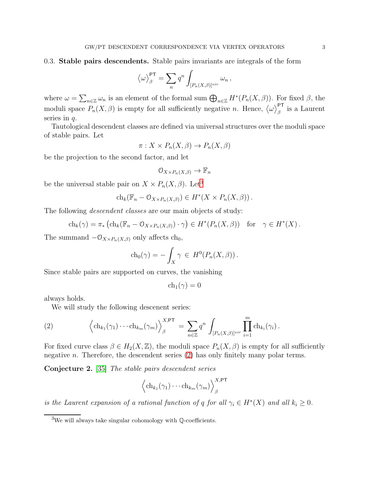#### <span id="page-2-3"></span>0.3. Stable pairs descendents. Stable pairs invariants are integrals of the form

$$
\langle \omega \rangle^{\mathsf{PT}}_{\beta} = \sum_{n} q^{n} \int_{[P_n(X,\beta)]^{vir}} \omega_n ,
$$

where  $\omega = \sum_{n \in \mathbb{Z}} \omega_n$  is an element of the formal sum  $\bigoplus_{n \in \mathbb{Z}} H^*(P_n(X, \beta)).$  For fixed  $\beta$ , the moduli space  $P_n(X, \beta)$  is empty for all sufficiently negative n. Hence,  $\langle \omega \rangle_{\beta}^{\text{PT}}$  is a Laurent series in  $q$ .

Tautological descendent classes are defined via universal structures over the moduli space of stable pairs. Let

$$
\pi: X \times P_n(X, \beta) \to P_n(X, \beta)
$$

be the projection to the second factor, and let

$$
0_{X\times P_n(X,\beta)}\to\mathbb{F}_n
$$

be the universal stable pair on  $X \times P_n(X, \beta)$ . Let<sup>[3](#page-2-0)</sup>

$$
ch_k(\mathbb{F}_n - \mathcal{O}_{X \times P_n(X,\beta)}) \in H^*(X \times P_n(X,\beta)).
$$

The following *descendent classes* are our main objects of study:

$$
ch_k(\gamma) = \pi_* \left( ch_k(\mathbb{F}_n - \mathcal{O}_{X \times P_n(X,\beta)}) \cdot \gamma \right) \in H^*(P_n(X,\beta)) \text{ for } \gamma \in H^*(X).
$$

The summand  $-\mathcal{O}_{X\times P_n(X,\beta)}$  only affects ch<sub>0</sub>,

$$
ch_0(\gamma) = -\int_X \gamma \in H^0(P_n(X,\beta)).
$$

Since stable pairs are supported on curves, the vanishing

<span id="page-2-1"></span>
$$
ch_1(\gamma)=0
$$

always holds.

We will study the following descenent series:

(2) 
$$
\left\langle \mathrm{ch}_{k_1}(\gamma_1)\cdots \mathrm{ch}_{k_m}(\gamma_m) \right\rangle_{\beta}^{X,\mathsf{PT}} = \sum_{n\in\mathbb{Z}} q^n \int_{[P_n(X,\beta)]^{vir}} \prod_{i=1}^m \mathrm{ch}_{k_i}(\gamma_i).
$$

For fixed curve class  $\beta \in H_2(X,\mathbb{Z})$ , the moduli space  $P_n(X,\beta)$  is empty for all sufficiently negative n. Therefore, the descendent series  $(2)$  has only finitely many polar terms.

<span id="page-2-2"></span>Conjecture 2. [\[35\]](#page-37-5) The stable pairs descendent series

$$
\left\langle \mathrm{ch}_{k_1}(\gamma_1) \cdots \mathrm{ch}_{k_m}(\gamma_m) \right\rangle_{\beta}^{X,\mathsf{PT}}
$$

is the Laurent expansion of a rational function of q for all  $\gamma_i \in H^*(X)$  and all  $k_i \geq 0$ .

<span id="page-2-0"></span><sup>3</sup>We will always take singular cohomology with Q-coefficients.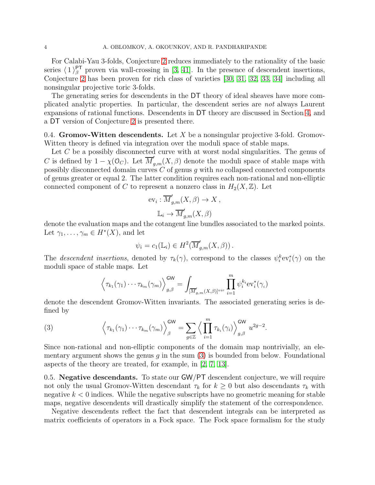For Calabi-Yau 3-folds, Conjecture [2](#page-2-2) reduces immediately to the rationality of the basic series  $\langle 1 \rangle^{\text{PT}}_{\beta}$  proven via wall-crossing in [\[3,](#page-36-3) [41\]](#page-37-8). In the presence of descendent insertions, Conjecture [2](#page-2-2) has been proven for rich class of varieties [\[30,](#page-37-9) [31,](#page-37-10) [32,](#page-37-11) [33,](#page-37-3) [34\]](#page-37-4) including all nonsingular projective toric 3-folds.

The generating series for descendents in the DT theory of ideal sheaves have more complicated analytic properties. In particular, the descendent series are not always Laurent expansions of rational functions. Descendents in DT theory are discussed in Section [4,](#page-33-0) and a DT version of Conjecture [2](#page-2-2) is presented there.

0.4. Gromov-Witten descendents. Let X be a nonsingular projective 3-fold. Gromov-Witten theory is defined via integration over the moduli space of stable maps.

Let C be a possibly disconnected curve with at worst nodal singularities. The genus of C is defined by  $1 - \chi(\mathcal{O}_C)$ . Let  $\overline{M}'_{g,m}(X,\beta)$  denote the moduli space of stable maps with possibly disconnected domain curves C of genus g with no collapsed connected components of genus greater or equal 2. The latter condition requires each non-rational and non-elliptic connected component of C to represent a nonzero class in  $H_2(X, \mathbb{Z})$ . Let

$$
ev_i: \overline{M}'_{g,m}(X,\beta) \to X,
$$
  

$$
\mathbb{L}_i \to \overline{M}'_{g,m}(X,\beta)
$$

denote the evaluation maps and the cotangent line bundles associated to the marked points. Let  $\gamma_1, \ldots, \gamma_m \in H^*(X)$ , and let

$$
\psi_i = c_1(\mathbb{L}_i) \in H^2(\overline{M}'_{g,m}(X,\beta)).
$$

The *descendent insertions*, denoted by  $\tau_k(\gamma)$ , correspond to the classes  $\psi_i^k$ ev<sub>i</sub> $(\gamma)$  on the moduli space of stable maps. Let

$$
\left\langle \tau_{k_1}(\gamma_1)\cdots\tau_{k_m}(\gamma_m) \right\rangle_{g,\beta}^{\mathsf{GW}} = \int_{[\overline{M}'_{g,m}(X,\beta)]^{vir}} \prod_{i=1}^m \psi_i^{k_i} \mathrm{ev}_i^*(\gamma_i)
$$

<span id="page-3-0"></span>denote the descendent Gromov-Witten invariants. The associated generating series is defined by

(3) 
$$
\left\langle \tau_{k_1}(\gamma_1) \cdots \tau_{k_m}(\gamma_m) \right\rangle_{\beta}^{GW} = \sum_{g \in \mathbb{Z}} \left\langle \prod_{i=1}^m \tau_{k_i}(\gamma_i) \right\rangle_{g,\beta}^{GW} u^{2g-2}.
$$

Since non-rational and non-elliptic components of the domain map nontrivially, an elementary argument shows the genus  $g$  in the sum  $(3)$  is bounded from below. Foundational aspects of the theory are treated, for example, in [\[2,](#page-36-4) [7,](#page-36-5) [13\]](#page-36-6).

<span id="page-3-1"></span>0.5. Negative descendants. To state our GW/PT descendent conjecture, we will require not only the usual Gromov-Witten descendant  $\tau_k$  for  $k \geq 0$  but also descendants  $\tau_k$  with negative  $k < 0$  indices. While the negative subscripts have no geometric meaning for stable maps, negative descendents will drastically simplify the statement of the correspondence.

Negative descendents reflect the fact that descendent integrals can be interpreted as matrix coefficients of operators in a Fock space. The Fock space formalism for the study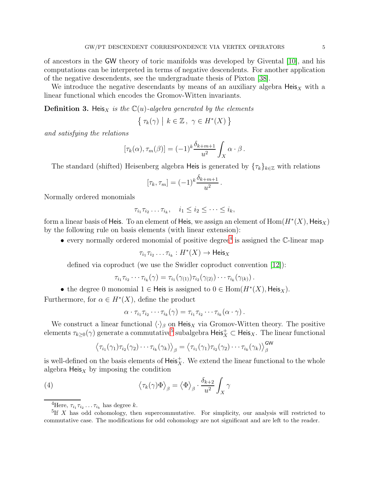of ancestors in the GW theory of toric manifolds was developed by Givental [\[10\]](#page-36-7), and his computations can be interpreted in terms of negative descendents. For another application of the negative descendents, see the undergraduate thesis of Pixton [\[38\]](#page-37-12).

We introduce the negative descendants by means of an auxiliary algebra  $Heis<sub>X</sub>$  with a linear functional which encodes the Gromov-Witten invariants.

**Definition 3.** Heis<sub>X</sub> is the  $\mathbb{C}(u)$ -algebra generated by the elements

$$
\{ \tau_k(\gamma) \mid k \in \mathbb{Z}, \ \gamma \in H^*(X) \}
$$

and satisfying the relations

$$
[\tau_k(\alpha), \tau_m(\beta)] = (-1)^k \frac{\delta_{k+m+1}}{u^2} \int_X \alpha \cdot \beta.
$$

The standard (shifted) Heisenberg algebra Heis is generated by  $\{\tau_k\}_{k\in\mathbb{Z}}$  with relations

$$
[\tau_k, \tau_m] = (-1)^k \frac{\delta_{k+m+1}}{u^2}.
$$

Normally ordered monomials

$$
\tau_{i_1}\tau_{i_2}\ldots\tau_{i_k}, \quad i_1\leq i_2\leq\cdots\leq i_k,
$$

form a linear basis of Heis. To an element of Heis, we assign an element of  $\mathrm{Hom}(H^*(X),\mathsf{Heis}_X)$ by the following rule on basis elements (with linear extension):

• every normally ordered monomial of positive degree<sup>[4](#page-4-0)</sup> is assigned the  $\mathbb{C}\text{-linear map}$ 

$$
\tau_{i_1}\tau_{i_2}\dots\tau_{i_k}:H^*(X)\to \mathsf{Heis}_X
$$

defined via coproduct (we use the Swidler coproduct convention [\[12\]](#page-36-8)):

$$
\tau_{i_1}\tau_{i_2}\cdots\tau_{i_k}(\gamma)=\tau_{i_1}(\gamma_{(1)})\tau_{i_2}(\gamma_{(2)})\cdots\tau_{i_k}(\gamma_{(k)}).
$$

- the degree 0 monomial  $1 \in$  Heis is assigned to  $0 \in$  Hom $(H^*(X),$  Heis<sub>X</sub>).
- Furthermore, for  $\alpha \in H^*(X)$ , define the product

<span id="page-4-2"></span>
$$
\alpha \cdot \tau_{i_1} \tau_{i_2} \cdots \tau_{i_k}(\gamma) = \tau_{i_1} \tau_{i_2} \cdots \tau_{i_k}(\alpha \cdot \gamma).
$$

We construct a linear functional  $\langle \cdot \rangle_{\beta}$  on Heis<sub>X</sub> via Gromov-Witten theory. The positive elements  $\tau_{k\geq 0}(\gamma)$  generate a commutative<sup>[5](#page-4-1)</sup> subalgebra  $\mathsf{Heis}^+_X\subset \mathsf{Heis}_X$ . The linear functional

$$
\left\langle \tau_{i_1}(\gamma_1)\tau_{i_2}(\gamma_2)\cdots\tau_{i_k}(\gamma_k)\right\rangle_{\beta}=\left\langle \tau_{i_1}(\gamma_1)\tau_{i_2}(\gamma_2)\cdots\tau_{i_k}(\gamma_k)\right\rangle_{\beta}^{\text{GW}}
$$

is well-defined on the basis elements of  $\textsf{Heis}_X^+$ . We extend the linear functional to the whole algebra  $\text{Heis}_X$  by imposing the condition

(4) 
$$
\langle \tau_k(\gamma) \Phi \rangle_{\beta} = \langle \Phi \rangle_{\beta} \cdot \frac{\delta_{k+2}}{u^2} \int_X \gamma
$$

<span id="page-4-0"></span><sup>&</sup>lt;sup>4</sup>Here,  $\tau_{i_1}\tau_{i_2}\ldots\tau_{i_k}$  has degree k.

<span id="page-4-1"></span><sup>&</sup>lt;sup>5</sup>If X has odd cohomology, then supercommutative. For simplicity, our analysis will restricted to commutative case. The modifications for odd cohomology are not significant and are left to the reader.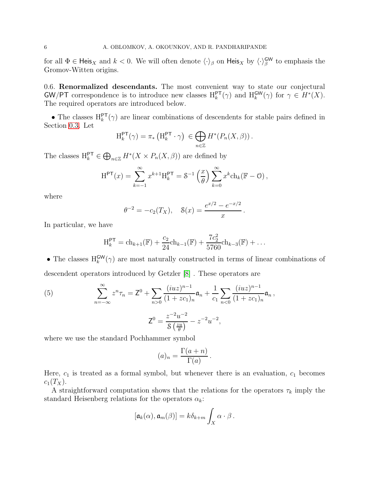for all  $\Phi \in \text{Heis}_X$  and  $k < 0$ . We will often denote  $\langle \cdot \rangle_\beta$  on  $\text{Heis}_X$  by  $\langle \cdot \rangle_\beta^{\text{GW}}$  to emphasis the Gromov-Witten origins.

<span id="page-5-1"></span>0.6. Renormalized descendants. The most convenient way to state our conjectural **GW/PT** correspondence is to introduce new classes  $H_k^{\mathsf{PT}}(\gamma)$  and  $H_k^{\mathsf{GW}}(\gamma)$  for  $\gamma \in H^*(X)$ . The required operators are introduced below.

• The classes  $H_k^{\text{PT}}(\gamma)$  are linear combinations of descendents for stable pairs defined in Section [0.3.](#page-2-3) Let

$$
\mathrm{H}_{k}^{\mathsf{PT}}(\gamma) = \pi_* \left( \mathrm{H}_{k}^{\mathsf{PT}} \cdot \gamma \right) \in \bigoplus_{n \in \mathbb{Z}} H^*(P_n(X, \beta)).
$$

The classes  $H_k^{\text{PT}} \in \bigoplus_{n \in \mathbb{Z}} H^*(X \times P_n(X, \beta))$  are defined by

$$
H^{\mathsf{PT}}(x) = \sum_{k=-1}^{\infty} x^{k+1} H_k^{\mathsf{PT}} = \mathcal{S}^{-1} \left( \frac{x}{\theta} \right) \sum_{k=0}^{\infty} x^k ch_k(\mathbb{F} - \mathcal{O}),
$$

where

$$
\theta^{-2} = -c_2(T_X), \quad \mathcal{S}(x) = \frac{e^{x/2} - e^{-x/2}}{x}.
$$

In particular, we have

$$
H_k^{\mathsf{PT}} = ch_{k+1}(\mathbb{F}) + \frac{c_2}{24}ch_{k-1}(\mathbb{F}) + \frac{7c_2^2}{5760}ch_{k-3}(\mathbb{F}) + \dots
$$

• The classes  $H_k^{\text{GW}}(\gamma)$  are most naturally constructed in terms of linear combinations of descendent operators introduced by Getzler [\[8\]](#page-36-9) . These operators are

(5) 
$$
\sum_{n=-\infty}^{\infty} z^n \tau_n = \mathsf{Z}^0 + \sum_{n>0} \frac{(iuz)^{n-1}}{(1+zc_1)_n} \mathsf{a}_n + \frac{1}{c_1} \sum_{n<0} \frac{(iuz)^{n-1}}{(1+zc_1)_n} \mathsf{a}_n,
$$

$$
\mathsf{Z}^0 = \frac{z^{-2}u^{-2}}{\mathcal{S}\left(\frac{zu}{\theta}\right)} - z^{-2}u^{-2},
$$

where we use the standard Pochhammer symbol

<span id="page-5-0"></span>
$$
(a)_n = \frac{\Gamma(a+n)}{\Gamma(a)}.
$$

Here,  $c_1$  is treated as a formal symbol, but whenever there is an evaluation,  $c_1$  becomes  $c_1(T_X)$ .

A straightforward computation shows that the relations for the operators  $\tau_k$  imply the standard Heisenberg relations for the operators  $\alpha_k$ :

$$
[\mathfrak{a}_k(\alpha),\mathfrak{a}_m(\beta)]=k\delta_{k+m}\int_X\alpha\cdot\beta.
$$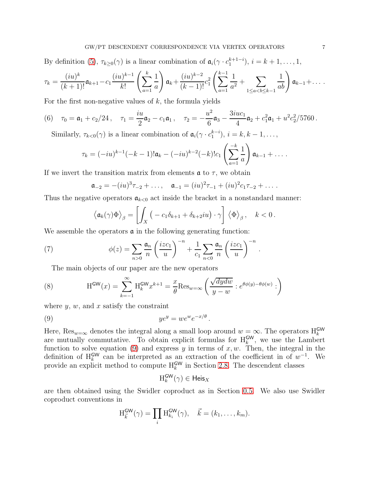By definition [\(5\)](#page-5-0),  $\tau_{k\geq 0}(\gamma)$  is a linear combination of  $\mathfrak{a}_i(\gamma \cdot c_1^{k+1-i}), i = k+1, \ldots, 1$ ,

$$
\tau_k = \frac{(iu)^k}{(k+1)!} \mathfrak{a}_{k+1} - c_1 \frac{(iu)^{k-1}}{k!} \left( \sum_{a=1}^k \frac{1}{a} \right) \mathfrak{a}_k + \frac{(iu)^{k-2}}{(k-1)!} c_1^2 \left( \sum_{a=1}^{k-1} \frac{1}{a^2} + \sum_{1 \leq a < b \leq k-1} \frac{1}{ab} \right) \mathfrak{a}_{k-1} + \dots
$$

For the first non-negative values of  $k$ , the formula yields

(6) 
$$
\tau_0 = \mathfrak{a}_1 + c_2/24
$$
,  $\tau_1 = \frac{iu}{2}\mathfrak{a}_2 - c_1\mathfrak{a}_1$ ,  $\tau_2 = -\frac{u^2}{6}\mathfrak{a}_3 - \frac{3iu c_1}{4}\mathfrak{a}_2 + c_1^2\mathfrak{a}_1 + u^2 c_2^2/5760$ .

Similarly,  $\tau_{k<0}(\gamma)$  is a linear combination of  $\mathfrak{a}_i(\gamma \cdot c_1^{k-i}), i = k, k-1, \ldots,$ 

<span id="page-6-3"></span>
$$
\tau_k = (-iu)^{k-1}(-k-1)!\mathfrak{a}_k - (-iu)^{k-2}(-k)!c_1\left(\sum_{a=1}^{-k}\frac{1}{a}\right)\mathfrak{a}_{k-1} + \ldots
$$

If we invert the transition matrix from elements  $\boldsymbol{\alpha}$  to  $\tau$ , we obtain

$$
\mathfrak{a}_{-2} = -(iu)^3 \tau_{-2} + \dots, \quad \mathfrak{a}_{-1} = (iu)^2 \tau_{-1} + (iu)^2 c_1 \tau_{-2} + \dots.
$$

Thus the negative operators  $a_{k<0}$  act inside the bracket in a nonstandard manner:

$$
\left\langle \mathfrak{a}_k(\gamma)\Phi\right\rangle_{\beta}=\left[\int_X\big(-c_1\delta_{k+1}+\delta_{k+2}iu\big)\cdot\gamma\right]\left\langle\Phi\right\rangle_{\beta},\quad k<0\,.
$$

<span id="page-6-2"></span><span id="page-6-1"></span>.

We assemble the operators  $\boldsymbol{\alpha}$  in the following generating function:

(7) 
$$
\phi(z) = \sum_{n>0} \frac{\mathfrak{a}_n}{n} \left( \frac{izc_1}{u} \right)^{-n} + \frac{1}{c_1} \sum_{n<0} \frac{\mathfrak{a}_n}{n} \left( \frac{izc_1}{u} \right)^{-n}
$$

The main objects of our paper are the new operators

(8) 
$$
H^{\text{GW}}(x) = \sum_{k=-1}^{\infty} H_k^{\text{GW}} x^{k+1} = \frac{x}{\theta} \text{Res}_{w=\infty} \left( \frac{\sqrt{dydw}}{y-w} : e^{\theta \phi(y) - \theta \phi(w)} : \right)
$$

where  $y, w$ , and  $x$  satisfy the constraint

(9) 
$$
ye^y = we^we^{-x/\theta}.
$$

Here,  $\text{Res}_{w=\infty}$  denotes the integral along a small loop around  $w = \infty$ . The operators  $H_k^{\text{GW}}$ are mutually commutative. To obtain explicit formulas for  $H_k^{\mathsf{GW}}$ , we use the Lambert function to solve equation [\(9\)](#page-6-0) and express y in terms of  $x, w$ . Then, the integral in the definition of  $H_k^{\text{GW}}$  can be interpreted as an extraction of the coefficient in of  $w^{-1}$ . We provide an explicit method to compute  $H_k^{\mathsf{GW}}$  in Section [2.8.](#page-24-1) The descendent classes

<span id="page-6-0"></span>
$$
\textnormal{H}_k^{\textnormal{GW}}(\gamma) \in \textnormal{Heis}_X
$$

are then obtained using the Swidler coproduct as in Section [0.5.](#page-3-1) We also use Swidler coproduct conventions in

$$
H_{\vec{k}}^{\mathsf{GW}}(\gamma) = \prod_i H_{k_i}^{\mathsf{GW}}(\gamma), \quad \vec{k} = (k_1, \dots, k_m).
$$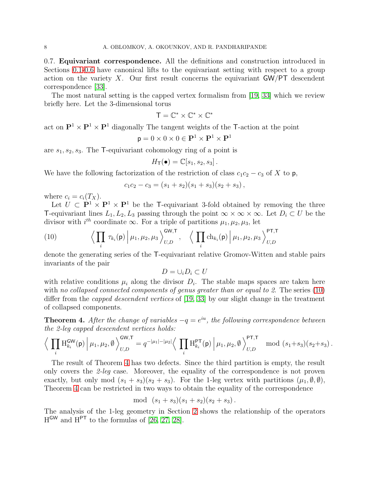<span id="page-7-2"></span>0.7. Equivariant correspondence. All the definitions and construction introduced in Sections [0.1](#page-0-1)[-0.6](#page-5-1) have canonical lifts to the equivariant setting with respect to a group action on the variety X. Our first result concerns the equivariant  $GW/PT$  descendent correspondence [\[33\]](#page-37-3).

The most natural setting is the capped vertex formalism from [\[19,](#page-37-0) [33\]](#page-37-3) which we review briefly here. Let the 3-dimensional torus

$$
\mathsf{T}=\mathbb{C}^*\times\mathbb{C}^*\times\mathbb{C}^*
$$

act on  $\mathbf{P}^1 \times \mathbf{P}^1 \times \mathbf{P}^1$  diagonally The tangent weights of the T-action at the point

$$
\mathbf{p} = 0 \times 0 \times 0 \in \mathbf{P}^1 \times \mathbf{P}^1 \times \mathbf{P}^1
$$

are  $s_1, s_2, s_3$ . The T-equivariant cohomology ring of a point is

$$
H_{\mathsf{T}}(\bullet) = \mathbb{C}[s_1, s_2, s_3].
$$

We have the following factorization of the restriction of class  $c_1c_2 - c_3$  of X to p,

$$
c_1c_2-c_3=(s_1+s_2)(s_1+s_3)(s_2+s_3),
$$

where  $c_i = c_i(T_X)$ .

Let  $\hat{U} \subset \mathbf{P}^1 \times \mathbf{P}^1 \times \mathbf{P}^1$  be the T-equivariant 3-fold obtained by removing the three T-equivariant lines  $L_1, L_2, L_3$  passing through the point  $\infty \times \infty \times \infty$ . Let  $D_i \subset U$  be the divisor with  $i^{th}$  coordinate  $\infty$ . For a triple of partitions  $\mu_1, \mu_2, \mu_3$ , let

(10) 
$$
\left\langle \prod_i \tau_{k_i}(\mathsf{p}) \middle| \mu_1, \mu_2, \mu_3 \right\rangle_{U,D}^{\mathsf{GW},\mathsf{T}}, \quad \left\langle \prod_i \mathrm{ch}_{k_i}(\mathsf{p}) \middle| \mu_1, \mu_2, \mu_3 \right\rangle_{U,D}^{\mathsf{PT},\mathsf{T}}
$$

denote the generating series of the T-equivariant relative Gromov-Witten and stable pairs invariants of the pair

<span id="page-7-0"></span>
$$
D=\cup_i D_i\subset U
$$

with relative conditions  $\mu_i$  along the divisor  $D_i$ . The stable maps spaces are taken here with no collapsed connected components of genus greater than or equal to 2. The series [\(10\)](#page-7-0) differ from the *capped descendent vertices* of [\[19,](#page-37-0) [33\]](#page-37-3) by our slight change in the treatment of collapsed components.

<span id="page-7-1"></span>**Theorem 4.** After the change of variables  $-q = e^{iu}$ , the following correspondence between the 2-leg capped descendent vertices holds:

$$
\Big\langle \prod_i \mathrm{H}^{\mathsf{GW}}_{k_i}(\mathsf{p}) \Big| \mu_1, \mu_2, \emptyset \Big\rangle^{\mathsf{GW}, \mathsf{T}}_{U, D} = q^{-|\mu_1| - |\mu_2|} \Big\langle \prod_i \mathrm{H}^{\mathsf{PT}}_{k_i}(\mathsf{p}) \Big| \mu_1, \mu_2, \emptyset \Big\rangle^{\mathsf{PT}, \mathsf{T}}_{U, D} \mod (s_1 + s_3)(s_2 + s_3) \,.
$$

The result of Theorem [4](#page-7-1) has two defects. Since the third partition is empty, the result only covers the 2-leg case. Moreover, the equality of the correspondence is not proven exactly, but only mod  $(s_1 + s_3)(s_2 + s_3)$ . For the 1-leg vertex with partitions  $(\mu_1, \emptyset, \emptyset)$ , Theorem [4](#page-7-1) can be restricted in two ways to obtain the equality of the correspondence

$$
\mod (s_1 + s_3)(s_1 + s_2)(s_2 + s_3).
$$

The analysis of the 1-leg geometry in Section [2](#page-13-0) shows the relationship of the operators  $H^{\text{GW}}$  and  $H^{\text{PT}}$  to the formulas of [26, [27,](#page-37-1) [28\]](#page-37-2).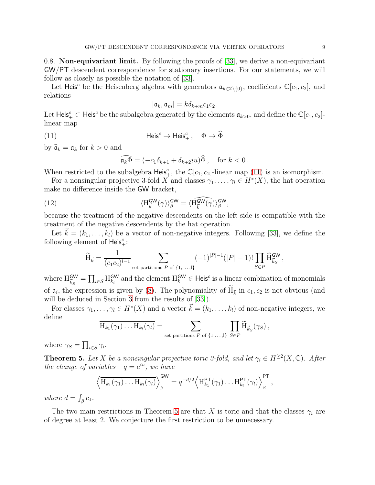<span id="page-8-3"></span>0.8. Non-equivariant limit. By following the proofs of [\[33\]](#page-37-3), we derive a non-equivariant GW/PT descendent correspondence for stationary insertions. For our statements, we will follow as closely as possible the notation of [\[33\]](#page-37-3).

Let Heis<sup>c</sup> be the Heisenberg algebra with generators  $\mathfrak{a}_{k\in\mathbb{Z}\setminus\{0\}}$ , coefficients  $\mathbb{C}[c_1,c_2]$ , and relations

$$
[\mathfrak{a}_k, \mathfrak{a}_m] = k \delta_{k+m} c_1 c_2.
$$

<span id="page-8-0"></span>Let  $\mathsf{Heis}^c_+ \subset \mathsf{Heis}^c$  be the subalgebra generated by the elements  $\mathfrak{a}_{k>0}$ , and define the  $\mathbb{C}[c_1, c_2]$ linear map

(11) 
$$
\mathsf{Heis}^c \to \mathsf{Heis}^c_+, \quad \Phi \mapsto \widehat{\Phi}
$$

by  $\hat{\mathfrak{a}}_k = \mathfrak{a}_k$  for  $k > 0$  and

<span id="page-8-2"></span>
$$
\widehat{\mathfrak{a}}_k \widehat{\Phi} = (-c_1 \delta_{k+1} + \delta_{k+2} i u) \widehat{\Phi}, \quad \text{for } k < 0.
$$

When restricted to the subalgebra  $\mathsf{Heis}_+^c$ , the  $\mathbb{C}[c_1, c_2]$ -linear map [\(11\)](#page-8-0) is an isomorphism.

For a nonsingular projective 3-fold X and classes  $\gamma_1, \ldots, \gamma_l \in H^*(X)$ , the hat operation make no difference inside the GW bracket,

(12) 
$$
\langle H_{\vec{k}}^{\mathsf{GW}}(\gamma) \rangle_{\beta}^{\mathsf{GW}} = \langle \widehat{H_{\vec{k}}^{\mathsf{GW}}}(\gamma) \rangle_{\beta}^{\mathsf{GW}},
$$

because the treatment of the negative descendents on the left side is compatible with the treatment of the negative descendents by the hat operation.

Let  $\vec{k} = (k_1, \ldots, k_l)$  be a vector of non-negative integers. Following [\[33\]](#page-37-3), we define the following element of  $\overline{\mathsf{Heis}}^c_+$ :

$$
\widetilde{H}_{\vec{k}} = \frac{1}{(c_1 c_2)^{l-1}} \sum_{\text{set partitions } P \text{ of } \{1, \ldots, l\}} (-1)^{|P|-1} (|P|-1)! \prod_{S \in P} \widehat{H}_{\vec{k}_S}^{\mathsf{GW}},
$$

where  $H_{\vec{k}_S}^{\mathsf{GW}} = \prod_{i \in S} H_{k_i}^{\mathsf{GW}}$  and the element  $H_k^{\mathsf{GW}} \in \mathsf{Heis}^c$  is a linear combination of monomials of  $a_i$ , the expression is given by [\(8\)](#page-6-1). The polynomiality of  $H_{\vec{k}}$  in  $c_1, c_2$  is not obvious (and will be deduced in Section [3](#page-24-0) from the results of [\[33\]](#page-37-3)).

For classes  $\gamma_1, \ldots, \gamma_l \in H^*(X)$  and a vector  $\vec{k} = (k_1, \ldots, k_l)$  of non-negative integers, we define

$$
\overline{H_{k_1}(\gamma_1)\dots H_{k_l}(\gamma_l)} = \sum_{\text{set partitions } P \text{ of } \{1,\dots,l\}} \prod_{S \in P} \widetilde{H}_{\vec{k}_S}(\gamma_S),
$$

where  $\gamma_S = \prod_{i \in S} \gamma_i$ .

<span id="page-8-1"></span>**Theorem 5.** Let X be a nonsingular projective toric 3-fold, and let  $\gamma_i \in H^{\geq 2}(X, \mathbb{C})$ . After the change of variables  $-q = e^{iu}$ , we have

$$
\left\langle \overline{\mathrm{H}_{k_1}(\gamma_1) \ldots \mathrm{H}_{k_l}(\gamma_l)} \right\rangle_{\beta}^{\mathsf{GW}} = q^{-d/2} \left\langle \mathrm{H}_{k_1}^{\mathsf{PT}}(\gamma_1) \ldots \mathrm{H}_{k_l}^{\mathsf{PT}}(\gamma_l) \right\rangle_{\beta}^{\mathsf{PT}},
$$

where  $d = \int_{\beta} c_1$ .

The two main restrictions in Theorem [5](#page-8-1) are that X is toric and that the classes  $\gamma_i$  are of degree at least 2. We conjecture the first restriction to be unnecessary.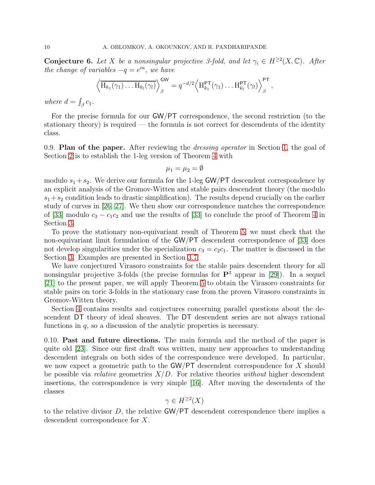**Conjecture 6.** Let X be a nonsingular projective 3-fold, and let  $\gamma_i \in H^{\geq 2}(X, \mathbb{C})$ . After the change of variables  $-q = e^{iu}$ , we have

$$
\left\langle \overline{\mathrm{H}_{k_1}(\gamma_1) \dots \mathrm{H}_{k_l}(\gamma_l)} \right\rangle_{\beta}^{\mathsf{GW}} = q^{-d/2} \left\langle \mathrm{H}_{k_1}^{\mathsf{PT}}(\gamma_1) \dots \mathrm{H}_{k_l}^{\mathsf{PT}}(\gamma_l) \right\rangle_{\beta}^{\mathsf{PT}},
$$

where  $d = \int_{\beta} c_1$ .

For the precise formula for our GW/PT correspondence, the second restriction (to the stationary theory) is required — the formula is not correct for descendents of the identity class.

0.9. Plan of the paper. After reviewing the *dressing operator* in Section [1,](#page-10-0) the goal of Section [2](#page-13-0) is to establish the 1-leg version of Theorem [4](#page-7-1) with

$$
\mu_1=\mu_2=\emptyset
$$

modulo  $s_1 + s_2$ . We derive our formula for the 1-leg GW/PT descendent correspondence by an explicit analysis of the Gromov-Witten and stable pairs descendent theory (the modulo  $s_1+s_2$  condition leads to drastic simplification). The results depend crucially on the earlier study of curves in [26, [27\]](#page-37-1). We then show our correspondence matches the correspondence of [\[33\]](#page-37-3) modulo  $c_3 - c_1 c_2$  and use the results of [33] to conclude the proof of Theorem [4](#page-7-1) in Section [3.](#page-24-0)

To prove the stationary non-equivariant result of Theorem [5,](#page-8-1) we must check that the non-equivariant limit formulation of the GW/PT descendent correspondence of [\[33\]](#page-37-3) does not develop singularities under the specialization  $c_3 = c_2c_1$ . The matter is discussed in the Section [3.](#page-24-0) Examples are presented in Section [3.7.](#page-32-0)

We have conjectured Virasoro constraints for the stable pairs descendent theory for all nonsingular projective 3-folds (the precise formulas for  $\mathbf{P}^3$  appear in [\[29\]](#page-37-6)). In a sequel [\[21\]](#page-37-13) to the present paper, we will apply Theorem [5](#page-8-1) to obtain the Virasoro constraints for stable pairs on toric 3-folds in the stationary case from the proven Virasoro constraints in Gromov-Witten theory.

Section [4](#page-33-0) contains results and conjectures concerning parallel questions about the descendent DT theory of ideal sheaves. The DT descendent series are not always rational functions in  $q$ , so a discussion of the analytic properties is necessary.

0.10. Past and future directions. The main formula and the method of the paper is quite old [\[23\]](#page-37-14). Since our first draft was written, many new approaches to understanding descendent integrals on both sides of the correspondence were developed. In particular, we now expect a geometric path to the GW/PT descendent correspondence for X should be possible via *relative* geometries  $X/D$ . For relative theories *without* higher descendent insertions, the correspondence is very simple [\[16\]](#page-36-1). After moving the descendents of the classes

$$
\gamma \in H^{\geq 2}(X)
$$

to the relative divisor  $D$ , the relative  $\mathsf{GW}/\mathsf{PT}$  descendent correspondence there implies a descendent correspondence for X.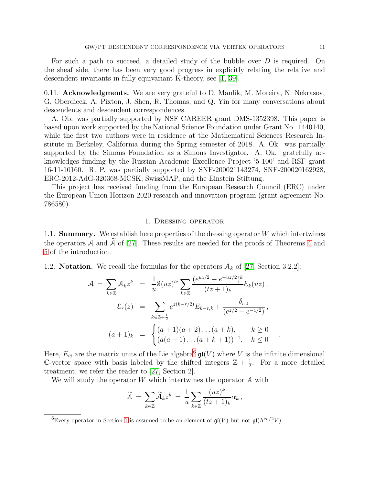For such a path to succeed, a detailed study of the bubble over D is required. On the sheaf side, there has been very good progress in explicitly relating the relative and descendent invariants in fully equivariant K-theory, see [\[1,](#page-36-10) [39\]](#page-37-15).

0.11. **Acknowledgments.** We are very grateful to D. Maulik, M. Moreira, N. Nekrasov, G. Oberdieck, A. Pixton, J. Shen, R. Thomas, and Q. Yin for many conversations about descendents and descendent correspondences.

A. Ob. was partially supported by NSF CAREER grant DMS-1352398. This paper is based upon work supported by the National Science Foundation under Grant No. 1440140, while the first two authors were in residence at the Mathematical Sciences Research Institute in Berkeley, California during the Spring semester of 2018. A. Ok. was partially supported by the Simons Foundation as a Simons Investigator. A. Ok. gratefully acknowledges funding by the Russian Academic Excellence Project '5-100' and RSF grant 16-11-10160. R. P. was partially supported by SNF-200021143274, SNF-200020162928, ERC-2012-AdG-320368-MCSK, SwissMAP, and the Einstein Stiftung.

This project has received funding from the European Research Council (ERC) under the European Union Horizon 2020 research and innovation program (grant agreement No. 786580).

#### 1. Dressing operator

<span id="page-10-0"></span>1.1. **Summary.** We establish here properties of the dressing operator W which intertwines the operators A and A of [\[27\]](#page-37-1). These results are needed for the proofs of Theorems [4](#page-7-1) and [5](#page-8-1) of the introduction.

<span id="page-10-2"></span>1.2. **Notation.** We recall the formulas for the operators  $A_k$  of [\[27,](#page-37-1) Section 3.2.2]:

$$
\mathcal{A} = \sum_{k \in \mathbb{Z}} \mathcal{A}_k z^k = \frac{1}{u} \mathcal{S}(uz)^{tz} \sum_{k \in \mathbb{Z}} \frac{(e^{uz/2} - e^{-uz/2})^k}{(tz + 1)_k} \mathcal{E}_k(uz),
$$

$$
\mathcal{E}_r(z) = \sum_{k \in \mathbb{Z}+\frac{1}{2}} e^{z(k-r/2)} E_{k-r,k} + \frac{\delta_{r,0}}{(e^{z/2} - e^{-z/2})},
$$

$$
(a+1)_k = \begin{cases} (a+1)(a+2) \dots (a+k), & k \ge 0 \\ (a(a-1) \dots (a+k+1))^{-1}, & k \le 0 \end{cases}
$$

Here,  $E_{ij}$  are the matrix units of the Lie algebra<sup>[6](#page-10-1)</sup>  $\mathfrak{gl}(V)$  where V is the infinite dimensional C-vector space with basis labeled by the shifted integers  $\mathbb{Z} + \frac{1}{2}$  $\frac{1}{2}$ . For a more detailed treatment, we refer the reader to [\[27,](#page-37-1) Section 2].

We will study the operator  $W$  which intertwines the operator  $A$  with

$$
\widetilde{\mathcal{A}}\,=\,\sum_{k\in\mathbb{Z}}\widetilde{\mathcal{A}}_kz^k\,=\,\frac{1}{u}\sum_{k\in\mathbb{Z}}\frac{(uz)^k}{(tz+1)_k}\alpha_k\,,
$$

.

<span id="page-10-1"></span><sup>&</sup>lt;sup>6</sup>Every operator in Section [1](#page-10-0) is assumed to be an element of  $\mathfrak{gl}(V)$  but not  $\mathfrak{gl}(\Lambda^{\infty/2}V)$ .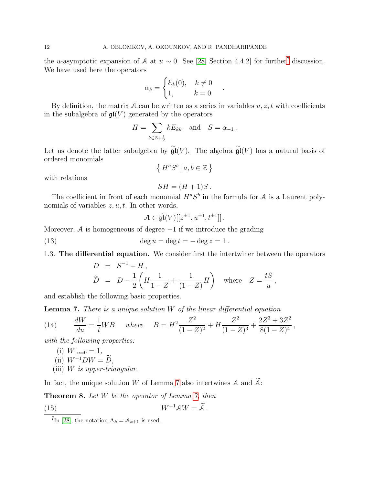the u-asymptotic expansion of A at  $u \sim 0$ . See [\[28,](#page-37-2) Section 4.4.2] for further<sup>[7](#page-11-0)</sup> discussion. We have used here the operators

$$
\alpha_k = \begin{cases} \mathcal{E}_k(0), & k \neq 0 \\ 1, & k = 0 \end{cases}
$$

.

By definition, the matrix A can be written as a series in variables  $u, z, t$  with coefficients in the subalgebra of  $\mathfrak{gl}(V)$  generated by the operators

$$
H = \sum_{k \in \mathbb{Z} + \frac{1}{2}} k E_{kk} \quad \text{and} \quad S = \alpha_{-1} \, .
$$

Let us denote the latter subalgebra by  $\widetilde{\mathfrak{gl}}(V)$ . The algebra  $\widetilde{\mathfrak{gl}}(V)$  has a natural basis of ordered monomials  $\left\{\;H^aS^b\;\big|\;a,b\in\mathbb{Z}\;\right\}$ 

with relations

<span id="page-11-5"></span>
$$
SH = (H+1)S.
$$

The coefficient in front of each monomial  $H^aS^b$  in the formula for A is a Laurent polynomials of variables  $z, u, t$ . In other words,

<span id="page-11-3"></span>
$$
\mathcal{A} \in \widetilde{\mathfrak{gl}}(V)[[z^{\pm 1}, u^{\pm 1}, t^{\pm 1}]]\,.
$$

Moreover,  $A$  is homogeneous of degree  $-1$  if we introduce the grading

(13) 
$$
\deg u = \deg t = -\deg z = 1
$$
.

1.3. The differential equation. We consider first the intertwiner between the operators

$$
D = S^{-1} + H,
$$
  
\n
$$
\widetilde{D} = D - \frac{1}{2} \left( H \frac{1}{1 - Z} + \frac{1}{(1 - Z)} H \right) \text{ where } Z = \frac{tS}{u},
$$

and establish the following basic properties.

<span id="page-11-1"></span>Lemma 7. There is a unique solution W of the linear differential equation

(14) 
$$
\frac{dW}{du} = \frac{1}{t}WB \quad where \quad B = H^2 \frac{Z^2}{(1-Z)^2} + H \frac{Z^2}{(1-Z)^3} + \frac{2Z^3 + 3Z^2}{8(1-Z)^4},
$$

with the following properties:

(i) 
$$
W|_{u=0} = 1
$$
,  
(ii)  $W^{-1}DW = \widetilde{D}$ ,

<span id="page-11-2"></span>(iii)  $W$  is upper-triangular.

In fact, the unique solution W of Lemma [7](#page-11-1) also intertwines  $A$  and  $A$ :

<span id="page-11-4"></span>Theorem 8. Let W be the operator of Lemma [7,](#page-11-1) then

(15) 
$$
W^{-1}AW = \widetilde{A}.
$$

<span id="page-11-0"></span><sup>&</sup>lt;sup>7</sup>In [\[28\]](#page-37-2), the notation  $A_k = A_{k+1}$  is used.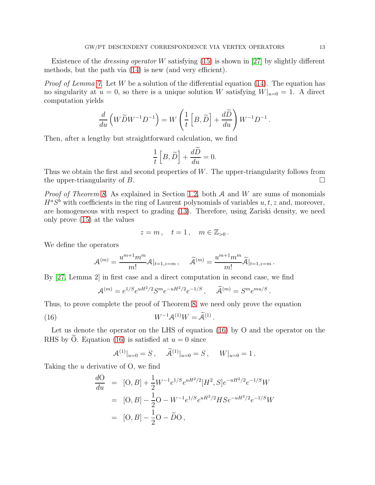Existence of the *dressing operator* W satisfying  $(15)$  is shown in [\[27\]](#page-37-1) by slightly different methods, but the path via [\(14\)](#page-11-3) is new (and very efficient).

*Proof of Lemma [7.](#page-11-1)* Let W be a solution of the differential equation [\(14\)](#page-11-3). The equation has no singularity at  $u = 0$ , so there is a unique solution W satisfying  $W|_{u=0} = 1$ . A direct computation yields

$$
\frac{d}{du}\left(W\widetilde{D}W^{-1}D^{-1}\right) = W\left(\frac{1}{t}\left[B,\widetilde{D}\right] + \frac{d\widetilde{D}}{du}\right)W^{-1}D^{-1}.
$$

Then, after a lengthy but straightforward calculation, we find

$$
\frac{1}{t}\left[B,\widetilde{D}\right]+\frac{d\widetilde{D}}{du}=0.
$$

Thus we obtain the first and second properties of W. The upper-triangularity follows from the upper-triangularity of B.

*Proof of Theorem [8.](#page-11-4)* As explained in Section [1.2,](#page-10-2) both  $A$  and  $W$  are sums of monomials  $H^aS^b$  with coefficients in the ring of Laurent polynomials of variables  $u, t, z$  and, moreover, are homogeneous with respect to grading [\(13\)](#page-11-5). Therefore, using Zariski density, we need only prove [\(15\)](#page-11-2) at the values

$$
z = m , \quad t = 1 , \quad m \in \mathbb{Z}_{>0} .
$$

We define the operators

$$
\mathcal{A}^{(m)} = \frac{u^{m+1}m^m}{m!} \mathcal{A}|_{t=1,z=m} , \quad \widetilde{\mathcal{A}}^{(m)} = \frac{u^{m+1}m^m}{m!} \widetilde{\mathcal{A}}|_{t=1,z=m} .
$$

By [\[27,](#page-37-1) Lemma 2] in first case and a direct computation in second case, we find

$$
\mathcal{A}^{(m)} = e^{1/S} e^{uH^2/2} S^m e^{-uH^2/2} e^{-1/S}, \quad \tilde{\mathcal{A}}^{(m)} = S^m e^{mu/S}
$$

<span id="page-12-0"></span>.

Thus, to prove complete the proof of Theorem [8,](#page-11-4) we need only prove the equation

$$
(16) \t\t W^{-1} \mathcal{A}^{(1)} W = \widetilde{\mathcal{A}}^{(1)}.
$$

Let us denote the operator on the LHS of equation [\(16\)](#page-12-0) by O and the operator on the RHS by O. Equation [\(16\)](#page-12-0) is satisfied at  $u = 0$  since

$$
\mathcal{A}^{(1)}|_{u=0} = S, \quad \widetilde{\mathcal{A}}^{(1)}|_{u=0} = S, \quad W|_{u=0} = 1.
$$

Taking the u derivative of O, we find

$$
\frac{dO}{du} = [O, B] + \frac{1}{2} W^{-1} e^{1/S} e^{uH^2/2} [H^2, S] e^{-uH^2/2} e^{-1/S} W
$$
  
= [O, B] - \frac{1}{2} O - W^{-1} e^{1/S} e^{uH^2/2} H S e^{-uH^2/2} e^{-1/S} W  
= [O, B] - \frac{1}{2} O - \widetilde{D} O,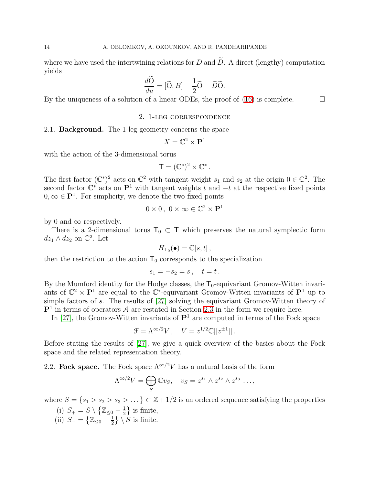where we have used the intertwining relations for D and  $\widetilde{D}$ . A direct (lengthy) computation yields

$$
\frac{d\widetilde{O}}{du} = [\widetilde{O}, B] - \frac{1}{2}\widetilde{O} - \widetilde{D}\widetilde{O}.
$$

<span id="page-13-0"></span>By the uniqueness of a solution of a linear ODEs, the proof of  $(16)$  is complete.

#### 2. 1-leg correspondence

#### 2.1. Background. The 1-leg geometry concerns the space

$$
X = \mathbb{C}^2 \times \mathbf{P}^1
$$

with the action of the 3-dimensional torus

$$
\mathsf{T}=(\mathbb{C}^*)^2\times\mathbb{C}^*.
$$

The first factor  $(\mathbb{C}^*)^2$  acts on  $\mathbb{C}^2$  with tangent weight  $s_1$  and  $s_2$  at the origin  $0 \in \mathbb{C}^2$ . The second factor  $\mathbb{C}^*$  acts on  $\mathbb{P}^1$  with tangent weights t and  $-t$  at the respective fixed points  $0, \infty \in \mathbf{P}^1$ . For simplicity, we denote the two fixed points

$$
0 \times 0, \ 0 \times \infty \in \mathbb{C}^2 \times \mathbf{P}^1
$$

by 0 and  $\infty$  respectively.

There is a 2-dimensional torus  $T_0 \subset T$  which preserves the natural symplectic form  $dz_1 \wedge dz_2$  on  $\mathbb{C}^2$ . Let

$$
H_{\mathsf{T}_0}(\bullet) = \mathbb{C}[s,t],
$$

then the restriction to the action  $T_0$  corresponds to the specialization

$$
s_1 = -s_2 = s \,, \quad t = t \,.
$$

By the Mumford identity for the Hodge classes, the  $T_0$ -equivariant Gromov-Witten invariants of  $\mathbb{C}^2 \times \mathbb{P}^1$  are equal to the  $\mathbb{C}^*$ -equivariant Gromov-Witten invariants of  $\mathbb{P}^1$  up to simple factors of s. The results of [\[27\]](#page-37-1) solving the equivariant Gromov-Witten theory of  $\mathbf{P}^1$  in terms of operators A are restated in Section [2.3](#page-15-0) in the form we require here.

In [\[27\]](#page-37-1), the Gromov-Witten invariants of  $\mathbf{P}^1$  are computed in terms of the Fock space

$$
\mathcal{F} = \Lambda^{\infty/2} V \,, \quad V = z^{1/2} \mathbb{C}[[z^{\pm 1}]] \,.
$$

Before stating the results of [\[27\]](#page-37-1), we give a quick overview of the basics about the Fock space and the related representation theory.

## 2.2. Fock space. The Fock space  $\Lambda^{\infty/2}V$  has a natural basis of the form

$$
\Lambda^{\infty/2}V = \bigoplus_{S} \mathbb{C}v_S, \quad v_S = z^{s_1} \wedge z^{s_2} \wedge z^{s_3} \dots,
$$

where  $S = \{s_1 > s_2 > s_3 > \ldots \} \subset \mathbb{Z} + 1/2$  is an ordered sequence satisfying the properties

- (i)  $S_+ = S \setminus \{ \mathbb{Z}_{\leq 0} \frac{1}{2} \}$  $\frac{1}{2}$  is finite,
- (ii)  $S_{-} = \left\{ \mathbb{Z}_{\leq 0} \frac{1}{2} \right\}$  $\frac{1}{2}$   $\Big\} \setminus S$  is finite.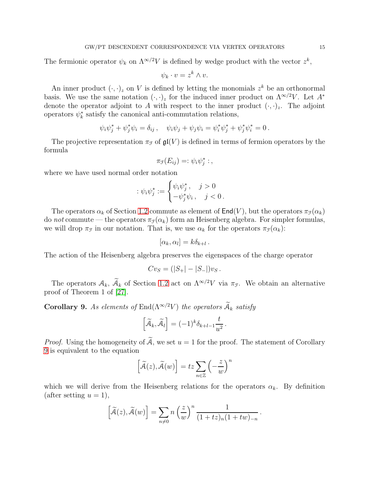The fermionic operator  $\psi_k$  on  $\Lambda^{\infty/2}V$  is defined by wedge product with the vector  $z^k$ ,

$$
\psi_k \cdot v = z^k \wedge v.
$$

An inner product  $(\cdot, \cdot)_z$  on V is defined by letting the monomials  $z^k$  be an orthonormal basis. We use the same notation  $(\cdot, \cdot)_z$  for the induced inner product on  $\Lambda^{\infty/2}V$ . Let  $A^*$ denote the operator adjoint to A with respect to the inner product  $(\cdot, \cdot)_z$ . The adjoint operators  $\psi_k^*$  satisfy the canonical anti-commutation relations,

$$
\psi_i \psi_j^* + \psi_j^* \psi_i = \delta_{ij} , \quad \psi_i \psi_j + \psi_j \psi_i = \psi_i^* \psi_j^* + \psi_j^* \psi_i^* = 0 .
$$

The projective representation  $\pi_{\mathcal{F}}$  of  $\mathfrak{gl}(V)$  is defined in terms of fermion operators by the formula

$$
\pi_{\mathcal{F}}(E_{ij}) = \psi_i \psi_j^* \,:\,,
$$

where we have used normal order notation

$$
:\psi_i\psi_j^*:=\begin{cases}\psi_i\psi_j^*,&j>0\\-\psi_j^*\psi_i,&j<0\,.\end{cases}
$$

The operators  $\alpha_k$  of Section [1.2](#page-10-2) commute as element of  $\text{End}(V)$ , but the operators  $\pi_{\mathcal{F}}(\alpha_k)$ do not commute — the operators  $\pi_{\mathcal{F}}(\alpha_k)$  form an Heisenberg algebra. For simpler formulas, we will drop  $\pi_{\mathcal{F}}$  in our notation. That is, we use  $\alpha_k$  for the operators  $\pi_{\mathcal{F}}(\alpha_k)$ :

$$
[\alpha_k, \alpha_l] = k \delta_{k+l} .
$$

The action of the Heisenberg algebra preserves the eigenspaces of the charge operator

$$
Cv_S = (|S_+| - |S_-|)v_S.
$$

The operators  $A_k$ ,  $\widetilde{A}_k$  of Section [1.2](#page-10-2) act on  $\Lambda^{\infty/2}V$  via  $\pi_{\mathcal{F}}$ . We obtain an alternative proof of Theorem 1 of [\[27\]](#page-37-1).

<span id="page-14-0"></span>**Corollary 9.** As elements of  $\text{End}(\Lambda^{\infty/2}V)$  the operators  $\widetilde{A}_k$  satisfy

$$
\left[\widetilde{\mathcal{A}}_k,\widetilde{\mathcal{A}}_l\right] = (-1)^k \delta_{k+l-1} \frac{t}{u^2}.
$$

*Proof.* Using the homogeneity of  $\widetilde{A}$ , we set  $u = 1$  for the proof. The statement of Corollary [9](#page-14-0) is equivalent to the equation

$$
\left[\widetilde{\mathcal{A}}(z),\widetilde{\mathcal{A}}(w)\right]=tz\sum_{n\in\mathbb{Z}}\left(-\frac{z}{w}\right)^{n}
$$

which we will derive from the Heisenberg relations for the operators  $\alpha_k$ . By definition (after setting  $u = 1$ ),

$$
\left[\widetilde{\mathcal{A}}(z),\widetilde{\mathcal{A}}(w)\right]=\sum_{n\neq 0}n\left(\frac{z}{w}\right)^n\frac{1}{(1+tz)_n(1+tw)_{-n}}.
$$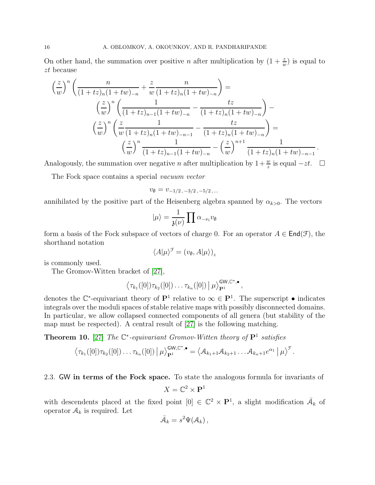On other hand, the summation over positive *n* after multiplication by  $(1 + \frac{z}{w})$  is equal to zt because

$$
\left(\frac{z}{w}\right)^n \left(\frac{n}{(1+tz)_n(1+tw)_{-n}} + \frac{z}{w} \frac{n}{(1+tz)_n(1+tw)_{-n}}\right) =
$$
\n
$$
\left(\frac{z}{w}\right)^n \left(\frac{1}{(1+tz)_{n-1}(1+tw)_{-n}} - \frac{tz}{(1+tz)_n(1+tw)_{-n}}\right) -
$$
\n
$$
\left(\frac{z}{w}\right)^n \left(\frac{z}{w} \frac{1}{(1+tz)_n(1+tw)_{-n-1}} - \frac{tz}{(1+tz)_n(1+tw)_{-n}}\right) =
$$
\n
$$
\left(\frac{z}{w}\right)^n \frac{1}{(1+tz)_{n-1}(1+tw)_{-n}} - \left(\frac{z}{w}\right)^{n+1} \frac{1}{(1+tz)_n(1+tw)_{-n-1}}.
$$

Analogously, the summation over negative *n* after multiplication by  $1+\frac{w}{z}$  is equal  $-zt$ .  $\Box$ 

The Fock space contains a special vacuum vector

$$
v_{\emptyset} = v_{-1/2, -3/2, -5/2, \dots}
$$

annihilated by the positive part of the Heisenberg algebra spanned by  $\alpha_{k>0}$ . The vectors

$$
|\mu\rangle = \frac{1}{\mathfrak{z}(\nu)} \prod \alpha_{-\nu_i} v_{\emptyset}
$$

form a basis of the Fock subspace of vectors of charge 0. For an operator  $A \in \text{End}(\mathcal{F})$ , the shorthand notation

$$
\langle A|\mu\rangle^{\mathcal{F}} = (v_{\emptyset}, A|\mu\rangle)_{z}
$$

is commonly used.

The Gromov-Witten bracket of [\[27\]](#page-37-1),

$$
\langle \tau_{k_1}([0])\tau_{k_2}([0])\ldots \tau_{k_n}([0]) | \mu \rangle_{\mathbf{P}^1}^{\mathsf{GW},\mathbb{C}^*,\bullet},
$$

denotes the  $\mathbb{C}^*$ -equivariant theory of  $\mathbf{P}^1$  relative to  $\infty \in \mathbf{P}^1$ . The superscript  $\bullet$  indicates integrals over the moduli spaces of stable relative maps with possibly disconnected domains. In particular, we allow collapsed connected components of all genera (but stability of the map must be respected). A central result of [\[27\]](#page-37-1) is the following matching.

<span id="page-15-1"></span>**Theorem 10.** [\[27\]](#page-37-1) The  $\mathbb{C}^*$ -equivariant Gromov-Witten theory of  $\mathbf{P}^1$  satisfies

$$
\left\langle \tau_{k_1}([0])\tau_{k_2}([0])\ldots \tau_{k_n}([0]) \, \middle| \, \mu \right\rangle_{\mathbf{P}^1}^{\mathbf{GW},\mathbb{C}^*,\bullet} = \left\langle \mathcal{A}_{k_1+1}\mathcal{A}_{k_2+1}\ldots \mathcal{A}_{k_n+1}e^{\alpha_1} \, \middle| \, \mu \right\rangle^{\mathcal{F}}.
$$

<span id="page-15-0"></span>2.3. GW in terms of the Fock space. To state the analogous formula for invariants of

$$
X = \mathbb{C}^2 \times \mathbf{P}^1
$$

with descendents placed at the fixed point  $[0] \in \mathbb{C}^2 \times \mathbf{P}^1$ , a slight modification  $\overline{\mathcal{A}}_k$  of operator  $A_k$  is required. Let

$$
\bar{\mathcal{A}}_k = s^2 \Psi(\mathcal{A}_k) ,
$$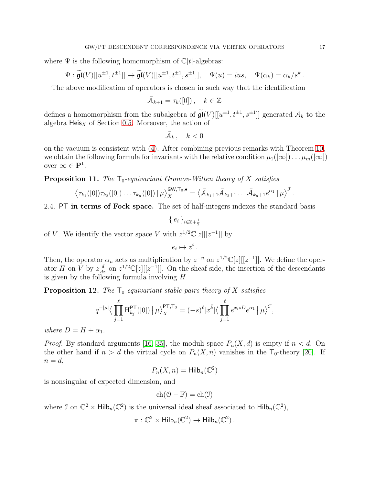where  $\Psi$  is the following homomorphism of  $\mathbb{C}[t]$ -algebras:

$$
\Psi : \widetilde{\mathfrak{gl}}(V)[[u^{\pm 1}, t^{\pm 1}]] \to \widetilde{\mathfrak{gl}}(V)[[u^{\pm 1}, t^{\pm 1}, s^{\pm 1}]], \quad \Psi(u) = ius, \quad \Psi(\alpha_k) = \alpha_k/s^k.
$$

The above modification of operators is chosen in such way that the identification

$$
\bar{\mathcal{A}}_{k+1} = \tau_k([0]), \quad k \in \mathbb{Z}
$$

defines a homomorphism from the subalgebra of  $\widetilde{\mathfrak{gl}}(V)[[u^{\pm 1}, t^{\pm 1}, s^{\pm 1}]]$  generated  $\mathcal{A}_k$  to the algebra  $Heis<sub>X</sub>$  of Section [0.5.](#page-3-1) Moreover, the action of

$$
\bar{\mathcal{A}}_k\,,\quad k<0
$$

on the vacuum is consistent with [\(4\)](#page-4-2). After combining previous remarks with Theorem [10,](#page-15-1) we obtain the following formula for invariants with the relative condition  $\mu_1([\infty]) \dots \mu_m([\infty])$ over  $\infty \in \mathbf{P}^1$ .

<span id="page-16-0"></span>**Proposition 11.** The  $T_0$ -equivariant Gromov-Witten theory of X satisfies

$$
\left\langle \tau_{k_1}([0])\tau_{k_2}([0])\ldots \tau_{k_n}([0]) \,|\, \mu \right\rangle_X^{\mathsf{GW},\mathsf{T}_0,\bullet} = \left\langle \bar{\mathcal{A}}_{k_1+1}\bar{\mathcal{A}}_{k_2+1}\ldots \bar{\mathcal{A}}_{k_n+1}e^{\alpha_1}\,|\, \mu \right\rangle^{\mathcal{F}}.
$$

2.4. PT in terms of Fock space. The set of half-integers indexes the standard basis

 $\{e_i\}_{i\in\mathbb{Z}+\frac{1}{2}}$ 

of V. We identify the vector space V with  $z^{1/2}\mathbb{C}[z][[z^{-1}]]$  by

$$
e_i \mapsto z^i \, .
$$

Then, the operator  $\alpha_n$  acts as multiplication by  $z^{-n}$  on  $z^{1/2}\mathbb{C}[z][[z^{-1}]]$ . We define the operator H on V by  $z\frac{d}{dz}$  on  $z^{1/2}\mathbb{C}[z][[z^{-1}]]$ . On the sheaf side, the insertion of the descendants is given by the following formula involving  $H$ .

<span id="page-16-1"></span>**Proposition 12.** The  $\mathsf{T}_0$ -equivariant stable pairs theory of X satisfies

$$
q^{-|\mu|} \langle \prod_{j=1}^{\ell} H_{k_j}^{\text{PT}}([0]) | \mu \rangle_X^{\text{PT}, \text{T}_0} = (-s)^{\ell} [x^{\vec{k}}] \langle \prod_{j=1}^{\ell} e^{x_i s D} e^{\alpha_1} | \mu \rangle^{\mathcal{F}},
$$

where  $D = H + \alpha_1$ .

*Proof.* By standard arguments [\[16,](#page-36-1) [35\]](#page-37-5), the moduli space  $P_n(X, d)$  is empty if  $n < d$ . On the other hand if  $n > d$  the virtual cycle on  $P_n(X, n)$  vanishes in the  $T_0$ -theory [\[20\]](#page-37-16). If  $n=d,$ 

$$
P_n(X, n) = \mathsf{Hilb}_n(\mathbb{C}^2)
$$

is nonsingular of expected dimension, and

$$
\mathrm{ch}(\mathfrak{O}-\mathbb{F})=\mathrm{ch}(\mathfrak{I})
$$

where J on  $\mathbb{C}^2 \times \mathsf{Hilb}_n(\mathbb{C}^2)$  is the universal ideal sheaf associated to  $\mathsf{Hilb}_n(\mathbb{C}^2)$ ,

$$
\pi: \mathbb{C}^2 \times \mathsf{Hilb}_n(\mathbb{C}^2) \to \mathsf{Hilb}_n(\mathbb{C}^2).
$$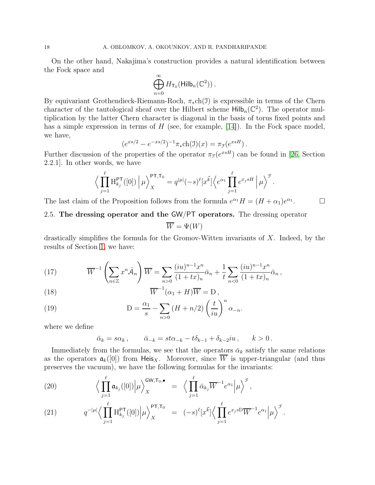On the other hand, Nakajima's construction provides a natural identification between the Fock space and

$$
\bigoplus_{n=0}^{\infty} H_{\mathsf{T}_0}(\mathsf{Hilb}_n(\mathbb{C}^2))\,.
$$

By equivariant Grothendieck-Riemann-Roch,  $\pi_*$ ch(J) is expressible in terms of the Chern character of the tautological sheaf over the Hilbert scheme  $\text{Hilb}_n(\mathbb{C}^2)$ . The operator multiplication by the latter Chern character is diagonal in the basis of torus fixed points and has a simple expression in terms of  $H$  (see, for example, [\[14\]](#page-36-11)). In the Fock space model, we have,

$$
(e^{xs/2} - e^{-xs/2})^{-1} \pi_* \text{ch}(\mathfrak{I})(x) = \pi_{\mathfrak{I}}(e^{xsH}).
$$

Further discussion of the properties of the operator  $\pi_{\mathcal{F}}(e^{xsH})$  can be found in [26, Section 2.2.1]. In other words, we have

$$
\Big\langle \prod_{j=1}^{\ell} \mathrm{H}^{\mathsf{PT}}_{k_j}([0]) \Big| \mu \Big\rangle_X^{\mathsf{PT}, \mathsf{T}_0} = q^{|\mu|}(-s)^{\ell} [x^{\vec{k}}] \Big\langle e^{\alpha_1} \prod_{j=1}^{\ell} e^{x_j s H} \Big| \mu \Big\rangle^{\mathcal{F}}.
$$

The last claim of the Proposition follows from the formula  $e^{\alpha_1}H = (H + \alpha_1)e^{\alpha_1}$  $\Box$ 

# 2.5. The dressing operator and the GW/PT operators. The dressing operator

 $\overline{W} = \Psi(W)$ 

drastically simplifies the formula for the Gromov-Witten invariants of  $X$ . Indeed, by the results of Section [1,](#page-10-0) we have:

<span id="page-17-1"></span>(17) 
$$
\overline{W}^{-1}\left(\sum_{n\in\mathbb{Z}}x^n\overline{\mathcal{A}}_n\right)\overline{W}=\sum_{n>0}\frac{(iu)^{n-1}x^n}{(1+tx)_n}\overline{\alpha}_n+\frac{1}{t}\sum_{n<0}\frac{(iu)^{n-1}x^n}{(1+tx)_n}\overline{\alpha}_n,
$$
\n(18)

(18) 
$$
\overline{W}^{-1}(\alpha_1 + H)\overline{W} = D,
$$

<span id="page-17-2"></span>(19) 
$$
D = \frac{\alpha_1}{s} - \sum_{n>0} (H + n/2) \left(\frac{t}{iu}\right)^n \alpha_{-n}.
$$

where we define

<span id="page-17-0"></span>
$$
\bar{\alpha}_k = s\alpha_k, \qquad \bar{\alpha}_{-k} = st\alpha_{-k} - t\delta_{k-1} + \delta_{k-2}iu, \qquad k > 0.
$$

Immediately from the formulas, we see that the operators  $\bar{\alpha}_k$  satisfy the same relations as the operators  $\mathfrak{a}_k([0])$  from Heis<sub>X</sub>. Moreover, since  $\overline{W}$  is upper-triangular (and thus preserves the vacuum), we have the following formulas for the invariants:

(20) 
$$
\Big\langle \prod_{j=1}^{\ell} \mathfrak{a}_{k_j}([0]) \Big| \mu \Big\rangle_X^{\mathsf{GW}, \mathsf{T}_0, \bullet} = \Big\langle \prod_{j=1}^{\ell} \bar{\alpha}_{k_j} \overline{W}^{-1} e^{\alpha_1} \Big| \mu \Big\rangle^{\mathcal{F}},
$$

(21) 
$$
q^{-|\mu|} \Big\langle \prod_{j=1}^{\ell} H_{k_j}^{\mathsf{PT}}([0]) \Big| \mu \Big\rangle_X^{\mathsf{PT}, \mathsf{T}_0} = (-s)^{\ell} [x^{\vec{k}}] \Big\langle \prod_{j=1}^{\ell} e^{x_j s \mathsf{D}} \overline{W}^{-1} e^{\alpha_1} \Big| \mu \Big\rangle^{\mathcal{F}}.
$$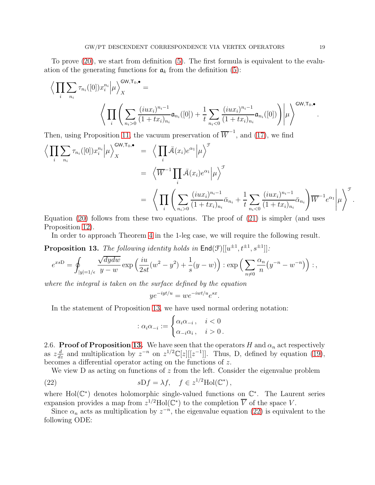To prove [\(20\)](#page-17-0), we start from definition [\(5\)](#page-5-0). The first formula is equivalent to the evaluation of the generating functions for  $a_k$  from the definition [\(5\)](#page-5-0):

$$
\left\langle \prod_{i} \sum_{n_{i}} \tau_{n_{i}}([0]) x_{i}^{n_{i}} \middle| \mu \right\rangle_{X}^{\text{GW},\text{T}_{0},\bullet} = \left\langle \prod_{i} \left( \sum_{n_{i}>0} \frac{(i u x_{i})^{n_{i}-1}}{(1+tx_{i})_{n_{i}}} \mathfrak{a}_{n_{i}}([0]) + \frac{1}{t} \sum_{n_{i}<0} \frac{(i u x_{i})^{n_{i}-1}}{(1+tx_{i})_{n_{i}}} \mathfrak{a}_{n_{i}}([0]) \right) \middle| \mu \right\rangle^{\text{GW},\text{T}_{0},\bullet}
$$

Then, using Proposition [11,](#page-16-0) the vacuum preservation of  $\overline{W}^{-1}$ , and [\(17\)](#page-17-1), we find

$$
\langle \prod_{i} \sum_{n_i} \tau_{n_i}([0]) x_i^{n_i} | \mu \rangle_X^{\text{GW}, \text{T}_0, \bullet} = \langle \prod_{i} \bar{\mathcal{A}}(x_i) e^{\alpha_1} | \mu \rangle^{\mathcal{F}}
$$
\n
$$
= \langle \overline{W}^{-1} \prod_{i} \bar{\mathcal{A}}(x_i) e^{\alpha_1} | \mu \rangle^{\mathcal{F}}
$$
\n
$$
= \langle \prod_{i} \left( \sum_{n_i > 0} \frac{(i u x_i)^{n_i - 1}}{(1 + tx_i)_{n_i}} \bar{\alpha}_{n_i} + \frac{1}{t} \sum_{n_i < 0} \frac{(i u x_i)^{n_i - 1}}{(1 + tx_i)_{n_i}} \bar{\alpha}_{n_i} \right) \overline{W}^{-1} e^{\alpha_1} | \mu \rangle^{\mathcal{F}}
$$

Equation  $(20)$  follows from these two equations. The proof of  $(21)$  is simpler (and uses Proposition [12\)](#page-16-1).

In order to approach Theorem [4](#page-7-1) in the 1-leg case, we will require the following result.

<span id="page-18-0"></span>**Proposition 13.** The following identity holds in  $\text{End}(\mathcal{F})[[u^{\pm 1}, t^{\pm 1}, s^{\pm 1}]]$ :

$$
e^{xs\mathcal{D}} = \oint_{|y|=1/\epsilon} \frac{\sqrt{dydw}}{y-w} \exp\left(\frac{iu}{2st}(w^2 - y^2) + \frac{1}{s}(y-w)\right) : \exp\left(\sum_{n\neq 0} \frac{\alpha_n}{n}(y^{-n} - w^{-n})\right) :
$$

where the integral is taken on the surface defined by the equation

$$
ye^{-iyt/u} = we^{-iwt/u}e^{sx}.
$$

In the statement of Proposition [13,](#page-18-0) we have used normal ordering notation:

$$
: \alpha_i \alpha_{-i} := \begin{cases} \alpha_i \alpha_{-i} \,, & i < 0 \\ \alpha_{-i} \alpha_i \,, & i > 0 \,.\end{cases}
$$

2.6. Proof of Proposition [13.](#page-18-0) We have seen that the operators H and  $\alpha_n$  act respectively as  $z\frac{d}{dz}$  and multiplication by  $z^{-n}$  on  $z^{1/2}\mathbb{C}[z][[z^{-1}]]$ . Thus, D, defined by equation [\(19\)](#page-17-2), becomes a differential operator acting on the functions of z.

We view  $D$  as acting on functions of  $z$  from the left. Consider the eigenvalue problem

(22) 
$$
sDf = \lambda f, \quad f \in z^{1/2}Hol(\mathbb{C}^*),
$$

where Hol $(\mathbb{C}^*)$  denotes holomorphic single-valued functions on  $\mathbb{C}^*$ . The Laurent series expansion provides a map from  $z^{1/2}$ Hol( $\mathbb{C}^*$ ) to the completion  $\overline{V}$  of the space V.

Since  $\alpha_n$  acts as multiplication by  $z^{-n}$ , the eigenvalue equation [\(22\)](#page-18-1) is equivalent to the following ODE:

.

<span id="page-18-1"></span>.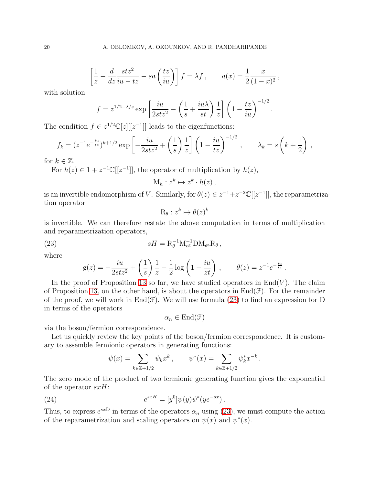$$
\left[\frac{1}{z} - \frac{d}{dz}\frac{stz^2}{iu - tz} - sa\left(\frac{tz}{iu}\right)\right]f = \lambda f, \qquad a(x) = \frac{1}{2}\frac{x}{(1-x)^2},
$$

with solution

$$
f = z^{1/2 - \lambda/s} \exp\left[\frac{iu}{2stz^2} - \left(\frac{1}{s} + \frac{iu\lambda}{st}\right)\frac{1}{z}\right] \left(1 - \frac{tz}{iu}\right)^{-1/2}.
$$

The condition  $f \in z^{1/2} \mathbb{C}[z][[z^{-1}]]$  leads to the eigenfunctions:

$$
f_k = (z^{-1}e^{-\frac{iu}{tz}})^{k+1/2} \exp\left[-\frac{iu}{2stz^2} + \left(\frac{1}{s}\right)\frac{1}{z}\right] \left(1 - \frac{iu}{tz}\right)^{-1/2}, \qquad \lambda_k = s\left(k + \frac{1}{2}\right),
$$

for  $k \in \mathbb{Z}$ .

For  $h(z) \in 1 + z^{-1} \mathbb{C}[[z^{-1}]],$  the operator of multiplication by  $h(z)$ ,

$$
M_h: z^k \mapsto z^k \cdot h(z) ,
$$

is an invertible endomorphism of V. Similarly, for  $\theta(z) \in z^{-1} + z^{-2} \mathbb{C}[[z^{-1}]]$ , the reparametrization operator k

<span id="page-19-0"></span>
$$
\mathrm{R}_{\theta}:z^k\mapsto\theta(z)^i
$$

is invertible. We can therefore restate the above computation in terms of multiplication and reparametrization operators,

(23) 
$$
sH = R_{\theta}^{-1} M_{e^g}^{-1} D M_{e^g} R_{\theta},
$$

where

$$
g(z) = -\frac{iu}{2stz^2} + \left(\frac{1}{s}\right)\frac{1}{z} - \frac{1}{2}\log\left(1 - \frac{iu}{zt}\right), \qquad \theta(z) = z^{-1}e^{-\frac{iu}{tz}}.
$$

In the proof of Proposition [13](#page-18-0) so far, we have studied operators in  $\text{End}(V)$ . The claim of Proposition [13,](#page-18-0) on the other hand, is about the operators in  $\text{End}(\mathcal{F})$ . For the remainder of the proof, we will work in  $End(\mathcal{F})$ . We will use formula [\(23\)](#page-19-0) to find an expression for D in terms of the operators

 $\alpha_n \in \text{End}(\mathcal{F})$ 

via the boson/fermion correspondence.

Let us quickly review the key points of the boson/fermion correspondence. It is customary to assemble fermionic operators in generating functions:

<span id="page-19-1"></span>
$$
\psi(x) = \sum_{k \in \mathbb{Z}+1/2} \psi_k x^k, \qquad \psi^*(x) = \sum_{k \in \mathbb{Z}+1/2} \psi_k^* x^{-k}.
$$

The zero mode of the product of two fermionic generating function gives the exponential of the operator  $sxH$ :

(24) 
$$
e^{sxH} = [y^0] \psi(y) \psi^*(y e^{-sx}).
$$

Thus, to express  $e^{sxD}$  in terms of the operators  $\alpha_n$  using [\(23\)](#page-19-0), we must compute the action of the reparametrization and scaling operators on  $\psi(x)$  and  $\psi^*(x)$ .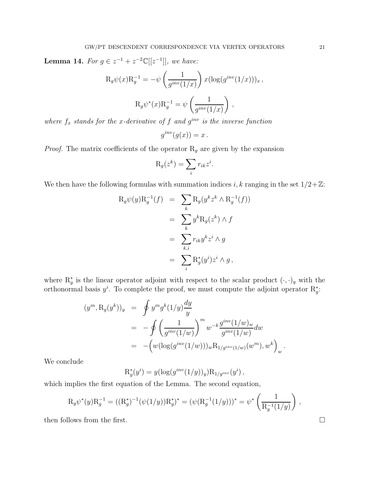<span id="page-20-0"></span>**Lemma 14.** For  $g \in z^{-1} + z^{-2} \mathbb{C}[[z^{-1}]],$  we have:

$$
R_g \psi(x) R_g^{-1} = -\psi \left(\frac{1}{g^{inv}(1/x)}\right) x (\log(g^{inv}(1/x)))_x,
$$
  

$$
R_g \psi^*(x) R_g^{-1} = \psi \left(\frac{1}{g^{inv}(1/x)}\right),
$$

where  $f_x$  stands for the x-derivative of f and  $g^{inv}$  is the inverse function

$$
g^{inv}(g(x)) = x.
$$

*Proof.* The matrix coefficients of the operator  $R_g$  are given by the expansion

$$
R_g(z^k) = \sum_i r_{ik} z^i.
$$

We then have the following formulas with summation indices i, k ranging in the set  $1/2+\mathbb{Z}$ :

$$
R_g \psi(y) R_g^{-1}(f) = \sum_k R_g(y^k z^k \wedge R_g^{-1}(f))
$$
  
= 
$$
\sum_k y^k R_g(z^k) \wedge f
$$
  
= 
$$
\sum_{k,i} r_{ik} y^k z^i \wedge g
$$
  
= 
$$
\sum_i R_g^*(y^i) z^i \wedge g,
$$

where  $\mathbb{R}^*_g$  is the linear operator adjoint with respect to the scalar product  $(\cdot, \cdot)_y$  with the orthonormal basis  $y^i$ . To complete the proof, we must compute the adjoint operator  $\mathrm{R}^*_g$ :

$$
(ym, Rg(yk))y = \oint ym gk (1/y) \frac{dy}{y}
$$
  
=  $-\oint \left(\frac{1}{ginv(1/w)}\right)^{m} w^{-k} \frac{ginv(1/w)w}{ginv(1/w)} dw$   
=  $-(w(\log(ginv(1/w)))w R1/ginv(1/w)(wm), wk)w.$ 

We conclude

$$
R_g^*(y^i) = y(\log(g^{inv}(1/y))_y)R_{1/g^{inv}}(y^i),
$$

which implies the first equation of the Lemma. The second equation,

$$
R_g \psi^*(y) R_g^{-1} = ((R_g^*)^{-1} (\psi(1/y)) R_g^*)^* = (\psi(R_g^{-1}(1/y)))^* = \psi^* \left( \frac{1}{R_g^{-1}(1/y)} \right) ,
$$

then follows from the first.  $\Box$ 

 $\mathbf{r}$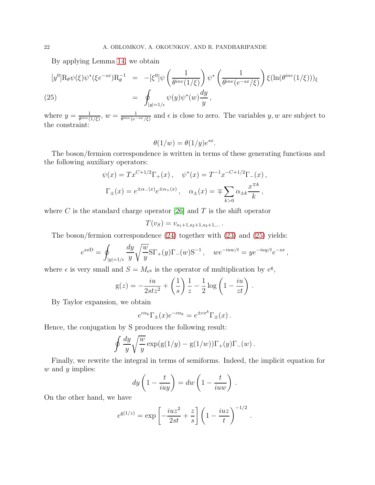By applying Lemma [14,](#page-20-0) we obtain

<span id="page-21-0"></span>
$$
[y^{0}]R_{\theta}\psi(\xi)\psi^{*}(\xi e^{-sx})R_{\theta}^{-1} = -[\xi^{0}]\psi\left(\frac{1}{\theta^{inv}(1/\xi)}\right)\psi^{*}\left(\frac{1}{\theta^{inv}(e^{-sx}/\xi)}\right)\xi(\ln(\theta^{inv}(1/\xi)))_{\xi}
$$
  
(25) 
$$
= \oint_{|y|=1/\epsilon}\psi(y)\psi^{*}(w)\frac{dy}{y},
$$

where  $y = \frac{1}{\theta^{inv}}$  $\frac{1}{\theta^{inv}(1/\xi)}, w = \frac{1}{\theta^{inv}(e^{-\xi})}$  $\frac{1}{\theta^{inv}(e^{-sx}/\xi)}$  and  $\epsilon$  is close to zero. The variables y, w are subject to the constraint:

$$
\theta(1/w) = \theta(1/y)e^{sx}.
$$

The boson/fermion correspondence is written in terms of these generating functions and the following auxiliary operators:

$$
\psi(x) = Tx^{C+1/2}\Gamma_{+}(x), \quad \psi^{*}(x) = T^{-1}x^{-C+1/2}\Gamma_{-}(x),
$$

$$
\Gamma_{\pm}(x) = e^{\pm \alpha_{-}(x)}e^{\pm \alpha_{+}(x)}, \quad \alpha_{\pm}(x) = \mp \sum_{k>0} \alpha_{\pm k} \frac{x^{\mp k}}{k},
$$

where C is the standard charge operator [26] and T is the shift operator

$$
T(v_S) = v_{s_1+1,s_2+1,s_3+1,\dots}.
$$

The boson/fermion correspondence [\(24\)](#page-19-1) together with [\(23\)](#page-19-0) and [\(25\)](#page-21-0) yields:

$$
e^{sx} = \oint_{|y|=1/\epsilon} \frac{dy}{y} \sqrt{\frac{w}{y}} \text{ST}_{+}(y) \text{T}_{-}(w) \text{S}^{-1}, \quad we^{-iuw/t} = ye^{-iuy/t}e^{-sx}
$$

,

where  $\epsilon$  is very small and  $S = M_{e^g}$  is the operator of multiplication by  $e^g$ ,

$$
g(z) = -\frac{iu}{2stz^2} + \left(\frac{1}{s}\right)\frac{1}{z} - \frac{1}{2}\log\left(1 - \frac{iu}{zt}\right).
$$

By Taylor expansion, we obtain

$$
e^{c\alpha_k} \Gamma_{\pm}(x) e^{-c\alpha_k} = e^{\pm cx^k} \Gamma_{\pm}(x) \, .
$$

Hence, the conjugation by S produces the following result:

$$
\oint \frac{dy}{y} \sqrt{\frac{w}{y}} \exp(g(1/y) - g(1/w)) \Gamma_+(y) \Gamma_-(w) .
$$

Finally, we rewrite the integral in terms of semiforms. Indeed, the implicit equation for  $w$  and  $y$  implies:

$$
dy\left(1-\frac{t}{iuy}\right) = dw\left(1-\frac{t}{iuw}\right).
$$

On the other hand, we have

$$
e^{g(1/z)} = \exp \left[ -\frac{iuz^2}{2st} + \frac{z}{s} \right] \left( 1 - \frac{iuz}{t} \right)^{-1/2}.
$$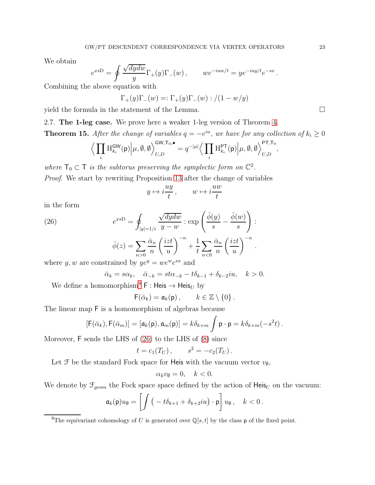We obtain

$$
e^{x s \mathcal{D}} = \oint \frac{\sqrt{dy dw}}{y} \Gamma_+(y) \Gamma_-(w) \,, \qquad we^{-i u w/t} = y e^{-i u y/t} e^{-s x} \,.
$$

Combining the above equation with

$$
\Gamma_+(y)\Gamma_-(w) =: \Gamma_+(y)\Gamma_-(w) : / (1 - w/y)
$$

yield the formula in the statement of the Lemma.

<span id="page-22-2"></span>2.7. The 1-leg case. We prove here a weaker 1-leg version of Theorem [4.](#page-7-1) **Theorem 15.** After the change of variables  $q = -e^{iu}$ , we have for any collection of  $k_i \geq 0$ 

$$
\Big\langle \prod_i \mathrm{H}^{\mathsf{GW}}_{k_i}(\mathsf{p}) \Big| \mu, \emptyset, \emptyset \Big\rangle^{\mathsf{GW}, \mathsf{T}_0, \bullet}_{U, D} = q^{-|\mu|} \Big\langle \prod_i \mathrm{H}^{\mathsf{PT}}_{k_i}(\mathsf{p}) \Big| \mu, \emptyset, \emptyset \Big\rangle^{\mathsf{PT}, \mathsf{T}_0}_{U, D},
$$

where  $T_0 \subset T$  is the subtorus preserving the symplectic form on  $\mathbb{C}^2$ .

Proof. We start by rewriting Proposition [13](#page-18-0) after the change of variables

$$
y \mapsto i\frac{uy}{t}, \qquad w \mapsto i\frac{uw}{t}
$$

<span id="page-22-1"></span>in the form

(26)  
\n
$$
e^{xsD} = \oint_{|y|=1/\epsilon} \frac{\sqrt{dydw}}{y-w} : \exp\left(\frac{\bar{\phi}(y)}{s} - \frac{\bar{\phi}(w)}{s}\right) :
$$
\n
$$
\bar{\phi}(z) = \sum_{n>0} \frac{\bar{\alpha}_n}{n} \left(\frac{izt}{u}\right)^{-n} + \frac{1}{t} \sum_{n<0} \frac{\bar{\alpha}_n}{n} \left(\frac{izt}{u}\right)^{-n}.
$$
\nwhere  $u, w$  are constrained by  $ue^y = u e^w e^{sx}$  and

where  $y, w$  are constrained by  $ye^y = we^we^{sx}$  and

$$
\bar{\alpha}_k = s\alpha_k, \quad \bar{\alpha}_{-k} = st\alpha_{-k} - t\delta_{k-1} + \delta_{k-2}iu, \quad k > 0.
$$

We define a homomorphism<sup>[8](#page-22-0)</sup> F : Heis  $\rightarrow$  Heis<sub>U</sub> by

$$
\mathsf{F}(\bar{\alpha}_k) = \mathfrak{a}_k(\mathsf{p}), \qquad k \in \mathbb{Z} \setminus \{0\}.
$$

The linear map F is a homomorphism of algebras because

$$
[\mathsf{F}(\bar{\alpha}_k),\mathsf{F}(\bar{\alpha}_m)]=[\mathfrak{a}_k(\mathsf{p}),\mathfrak{a}_m(\mathsf{p})]=k\delta_{k+m}\int \mathsf{p}\cdot \mathsf{p}=k\delta_{k+m}(-s^2t)\,.
$$

Moreover, F sends the LHS of [\(26\)](#page-22-1) to the LHS of [\(8\)](#page-6-1) since

$$
t = c_1(T_U), \qquad s^2 = -c_2(T_U).
$$

Let  $\mathcal F$  be the standard Fock space for Heis with the vacuum vector  $v_{\emptyset}$ ,

$$
\alpha_k v_{\emptyset} = 0, \quad k < 0.
$$

We denote by  $\mathcal{F}_{geom}$  the Fock space space defined by the action of Heis<sub>U</sub> on the vacuum:

$$
\mathfrak{a}_k(\mathsf{p})u_\emptyset = \left[ \int \big(-t\delta_{k+1} + \delta_{k+2} i u\big) \cdot \mathsf{p} \right] u_\emptyset, \quad k < 0.
$$

<span id="page-22-0"></span><sup>&</sup>lt;sup>8</sup>The equivariant cohomology of U is generated over  $\mathbb{Q}[s,t]$  by the class **p** of the fixed point.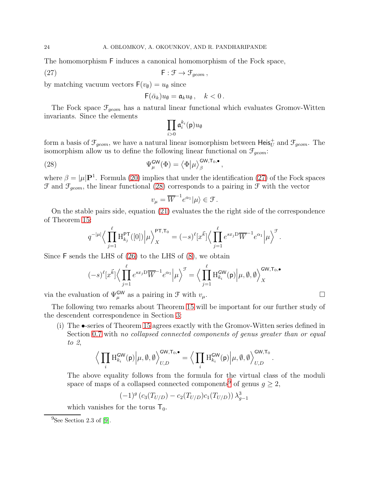The homomorphism F induces a canonical homomorphism of the Fock space,

(27) 
$$
\qquad \qquad \mathsf{F} : \mathcal{F} \to \mathcal{F}_{geom} \,,
$$

by matching vacuum vectors  $F(v_{\emptyset}) = u_{\emptyset}$  since

$$
\mathsf{F}(\bar{\alpha}_k)u_{\emptyset}=\mathfrak{a}_ku_{\emptyset},\quad k<0.
$$

The Fock space  $\mathcal{F}_{geom}$  has a natural linear functional which evaluates Gromov-Witten invariants. Since the elements

<span id="page-23-1"></span><span id="page-23-0"></span>
$$
\prod_{i>0}\mathfrak{a}_i^{k_i}(\mathsf{p})u_\emptyset
$$

form a basis of  $\mathcal{F}_{geom}$ , we have a natural linear isomorphism between  $\mathsf{Heis}_U^+$  and  $\mathcal{F}_{geom}$ . The isomorphism allow us to define the following linear functional on  $\mathcal{F}_{qeom}$ :

(28) 
$$
\Psi_{\mu}^{\mathsf{GW}}(\Phi) = \left\langle \Phi | \mu \right\rangle_{\beta}^{\mathsf{GW}, \mathsf{T}_0, \bullet},
$$

where  $\beta = |\mu| \mathbf{P}^1$ . Formula [\(20\)](#page-17-0) implies that under the identification [\(27\)](#page-23-0) of the Fock spaces  $\mathcal F$  and  $\mathcal F_{geom}$ , the linear functional [\(28\)](#page-23-1) corresponds to a pairing in  $\mathcal F$  with the vector

$$
v_{\mu} = \overline{W}^{-1} e^{\alpha_1} |\mu\rangle \in \mathcal{F}.
$$

On the stable pairs side, equation [\(21\)](#page-17-0) evaluates the the right side of the correspondence of Theorem [15:](#page-22-2)

$$
q^{-|\mu|} \Big\langle \prod_{j=1}^{\ell} \mathcal{H}_{k_j}^{\mathsf{PT}}([0]) \Big| \mu \Big\rangle_X^{\mathsf{PT}, \mathsf{T}_0} = (-s)^{\ell} [x^{\vec{k}}] \Big\langle \prod_{j=1}^{\ell} e^{sx_j \mathsf{D}} \overline{W}^{-1} e^{\alpha_1} \Big| \mu \Big\rangle^{\mathcal{F}}.
$$

Since F sends the LHS of [\(26\)](#page-22-1) to the LHS of [\(8\)](#page-6-1), we obtain

$$
(-s)^{\ell}[x^{\vec{k}}]\Big\langle \prod_{j=1}^{\ell} e^{sx_j D} \overline{W}^{-1} e^{\alpha_1} \Big| \mu \Big\rangle^{\mathcal{F}} = \Big\langle \prod_{j=1}^{\ell} H_{k_i}^{\mathsf{GW}}(\mathsf{p}) \Big| \mu, \emptyset, \emptyset \Big\rangle_X^{\mathsf{GW}, \mathsf{T}_0, \bullet}
$$

via the evaluation of  $\Psi_{\mu}^{\mathsf{GW}}$  as a pairing in  $\mathcal F$  with  $v_{\mu}$ .

The following two remarks about Theorem [15](#page-22-2) will be important for our further study of the descendent correspondence in Section [3:](#page-24-0)

(i) The •-series of Theorem [15](#page-22-2) agrees exactly with the Gromov-Witten series defined in Section [0.7](#page-7-2) with no collapsed connected components of genus greater than or equal to 2,

$$
\Big\langle \prod_i \mathrm{H}^{\mathsf{GW}}_{k_i}({\mathsf{p}}) \Big| \mu, \emptyset, \emptyset \Big\rangle^{\mathsf{GW}, \mathsf{T}_0, \bullet}_{U, D} = \Big\langle \prod_i \mathrm{H}^{\mathsf{GW}}_{k_i}({\mathsf{p}}) \Big| \mu, \emptyset, \emptyset \Big\rangle^{\mathsf{GW}, \mathsf{T}_0}_{U, D}.
$$

The above equality follows from the formula for the virtual class of the moduli space of maps of a collapsed connected components<sup>[9](#page-23-2)</sup> of genus  $g \geq 2$ ,

$$
(-1)^{g} (c_3(T_{U/D}) - c_2(T_{U/D})c_1(T_{U/D})) \lambda_{g-1}^3
$$

which vanishes for the torus  $T_0$ .

<span id="page-23-2"></span> $^{9}$ See Section 2.3 of [\[9\]](#page-36-12).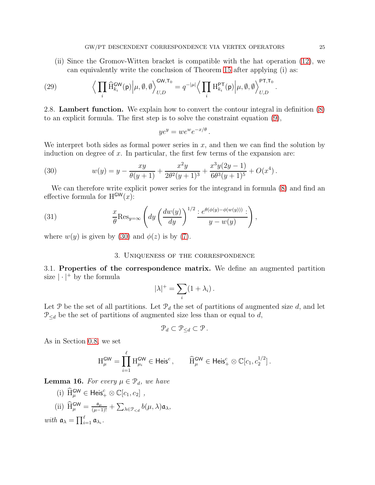(ii) Since the Gromov-Witten bracket is compatible with the hat operation [\(12\)](#page-8-2), we can equivalently write the conclusion of Theorem [15](#page-22-2) after applying (i) as:

(29) 
$$
\Big\langle \prod_i \widehat{\mathrm{H}}_{k_i}^{\mathrm{GW}}(\mathrm{p}) \Big| \mu, \emptyset, \emptyset \Big\rangle_{U,D}^{\mathrm{GW}, \mathrm{T}_0} = q^{-|\mu|} \Big\langle \prod_i \mathrm{H}_{k_i}^{\mathrm{PT}}(\mathrm{p}) \Big| \mu, \emptyset, \emptyset \Big\rangle_{U,D}^{\mathrm{PT}, \mathrm{T}_0}
$$

<span id="page-24-1"></span>2.8. Lambert function. We explain how to convert the contour integral in definition [\(8\)](#page-6-1) to an explicit formula. The first step is to solve the constraint equation [\(9\)](#page-6-0),

$$
ye^y = we^we^{-x/\theta}.
$$

We interpret both sides as formal power series in  $x$ , and then we can find the solution by induction on degree of  $x$ . In particular, the first few terms of the expansion are:

(30) 
$$
w(y) = y - \frac{xy}{\theta(y+1)} + \frac{x^2y}{2\theta^2(y+1)^3} + \frac{x^3y(2y-1)}{6\theta^3(y+1)^5} + O(x^4).
$$

We can therefore write explicit power series for the integrand in formula  $(8)$  and find an effective formula for  $H^{\mathsf{GW}}(x)$ :

(31) 
$$
\frac{x}{\theta} \text{Res}_{y=\infty} \left( dy \left( \frac{dw(y)}{dy} \right)^{1/2} \frac{e^{\theta(\phi(y) - \phi(w(y)))}}{y - w(y)} \right),
$$

<span id="page-24-0"></span>where  $w(y)$  is given by [\(30\)](#page-24-2) and  $\phi(z)$  is by [\(7\)](#page-6-2).

#### 3. Uniqueness of the correspondence

3.1. Properties of the correspondence matrix. We define an augmented partition size  $|\cdot|^+$  by the formula

$$
|\lambda|^+ = \sum_i (1 + \lambda_i) \, .
$$

Let P be the set of all partitions. Let  $\mathcal{P}_d$  the set of partitions of augmented size d, and let  $\mathcal{P}_{\le d}$  be the set of partitions of augmented size less than or equal to d,

$$
\mathcal{P}_d \subset \mathcal{P}_{\leq d} \subset \mathcal{P} \, .
$$

As in Section [0.8,](#page-8-3) we set

$$
\mathcal{H}^{\mathsf{GW}}_{\mu} = \prod_{i=1}^{\ell} \mathcal{H}^{\mathsf{GW}}_{\mu_i} \in \mathsf{Heis}^c, \qquad \widehat{\mathcal{H}}^{\mathsf{GW}}_{\mu} \in \mathsf{Heis}^c_+ \otimes \mathbb{C}[c_1, c_2^{1/2}].
$$

<span id="page-24-4"></span>**Lemma 16.** For every  $\mu \in \mathcal{P}_d$ , we have

(i) 
$$
\widehat{H}_{\mu}^{\text{GW}} \in \text{Heis}_{+}^{c} \otimes \mathbb{C}[c_1, c_2]
$$
,  
\n(ii)  $\widehat{H}_{\mu}^{\text{GW}} = \frac{\mathfrak{a}_{\mu}}{(\mu-1)!} + \sum_{\lambda \in \mathcal{P}_{,  
\nwith  $\mathfrak{a}_{\lambda} = \prod_{i=1}^{\ell} \mathfrak{a}_{\lambda_i}$ .$ 

<span id="page-24-3"></span><span id="page-24-2"></span>.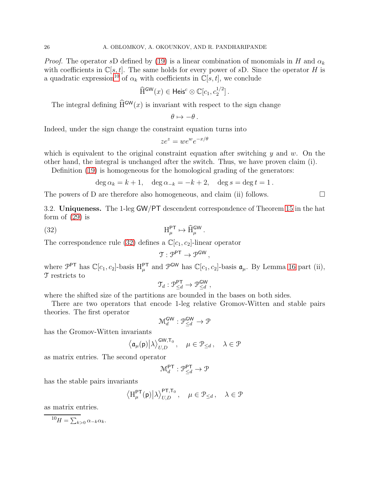*Proof.* The operator sD defined by [\(19\)](#page-17-2) is a linear combination of monomials in H and  $\alpha_k$ with coefficients in  $\mathbb{C}[s,t]$ . The same holds for every power of sD. Since the operator H is a quadratic expression<sup>[10](#page-25-0)</sup> of  $\alpha_k$  with coefficients in  $\mathbb{C}[s, t]$ , we conclude

$$
\widehat{\mathrm{H}}^{\mathsf{GW}}(x) \in \mathsf{Heis}^c \otimes \mathbb{C}[c_1, c_2^{1/2}].
$$

The integral defining  $\widehat{H}^{GW}(x)$  is invariant with respect to the sign change

$$
\theta \mapsto -\theta \, .
$$

Indeed, under the sign change the constraint equation turns into

$$
ze^z = we^w e^{-x/\theta}
$$

which is equivalent to the original constraint equation after switching  $y$  and  $w$ . On the other hand, the integral is unchanged after the switch. Thus, we have proven claim (i).

Definition [\(19\)](#page-17-2) is homogeneous for the homological grading of the generators:

<span id="page-25-1"></span>
$$
\deg \alpha_k = k + 1, \quad \deg \alpha_{-k} = -k + 2, \quad \deg s = \deg t = 1.
$$

The powers of D are therefore also homogeneous, and claim (ii) follows.  $\Box$ 

3.2. Uniqueness. The 1-leg GW/PT descendent correspondence of Theorem [15](#page-22-2) in the hat form of  $(29)$  is

(32) 
$$
H_{\mu}^{\text{PT}} \mapsto \widehat{H}_{\mu}^{\text{GW}}.
$$

The correspondence rule [\(32\)](#page-25-1) defines a  $\mathbb{C}[c_1, c_2]$ -linear operator

$$
\mathfrak{T}:\mathcal{P}^{\mathsf{PT}}\rightarrow\mathcal{P}^{\mathsf{GW}}\,,
$$

where  $\mathcal{P}^{\text{PT}}$  has  $\mathbb{C}[c_1, c_2]$ -basis  $H^{\text{PT}}_{\mu}$  and  $\mathcal{P}^{\text{GW}}$  has  $\mathbb{C}[c_1, c_2]$ -basis  $\mathfrak{a}_{\mu}$ . By Lemma [16](#page-24-4) part (ii), T restricts to

$$
\mathfrak{T}_d: \mathfrak{P}^{\mathsf{PT}}_{\leq d} \to \mathfrak{P}^{\mathsf{GW}}_{\leq d}\,,
$$

where the shifted size of the partitions are bounded in the bases on both sides.

There are two operators that encode 1-leg relative Gromov-Witten and stable pairs theories. The first operator

$$
\mathcal{M}_d^{\mathsf{GW}}: \mathcal{P}_{\leq d}^{\mathsf{GW}} \to \mathcal{P}
$$

has the Gromov-Witten invariants

$$
\left\langle \mathfrak{a}_{\mu}(\mathsf{p}) \middle| \lambda \right\rangle^{\mathsf{GW},\mathsf{T}_0}_{U,D}, \quad \mu \in \mathcal{P}_{\leq d} \, , \quad \lambda \in \mathcal{P}
$$

as matrix entries. The second operator

$$
\mathcal{M}_d^{\mathsf{PT}}: \mathcal{P}_{\leq d}^{\mathsf{PT}} \to \mathcal{P}
$$

has the stable pairs invariants

$$
\left\langle \mathrm{H}_{\mu}^{\mathsf{PT}}(\mathsf{p}) \middle| \lambda \right\rangle_{U,D}^{\mathsf{PT},\mathsf{T}_0}, \quad \mu \in \mathcal{P}_{\leq d}, \quad \lambda \in \mathcal{P}
$$

as matrix entries.

<span id="page-25-0"></span>
$$
^{10}H=\sum_{k>0}\alpha _{-k}\alpha _{k}.
$$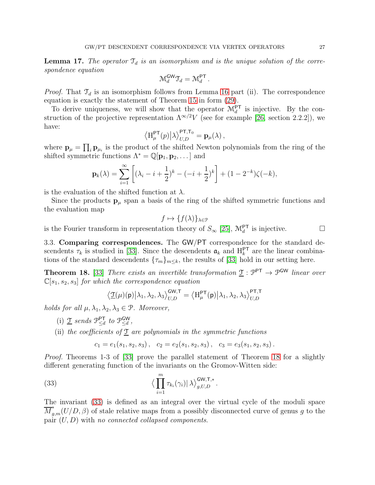<span id="page-26-2"></span>**Lemma 17.** The operator  $\mathcal{T}_d$  is an isomorphism and is the unique solution of the correspondence equation

$$
\mathcal{M}_d^{\mathsf{GW}}\mathcal{T}_d=\mathcal{M}_d^{\mathsf{PT}}\,.
$$

*Proof.* That  $\mathcal{T}_d$  is an isomorphism follows from Lemma [16](#page-24-4) part (ii). The correspondence equation is exactly the statement of Theorem [15](#page-22-2) in form [\(29\)](#page-24-3).

To derive uniqueness, we will show that the operator  $\mathcal{M}_d^{\mathsf{PT}}$  is injective. By the construction of the projective representation  $\Lambda^{\infty/2}V$  (see for example [26, section 2.2.2]), we have:

$$
\left\langle \mathbf{H}_{\mu}^{\mathsf{PT}}(p) \big| \lambda \right\rangle^{\mathsf{PT}, \mathsf{T}_0}_{U,D} = \mathbf{p}_{\mu}(\lambda) ,
$$

where  $\mathbf{p}_{\mu} = \prod_i \mathbf{p}_{\mu_i}$  is the product of the shifted Newton polynomials from the ring of the shifted symmetric functions  $\Lambda^* = \mathbb{Q}[\mathbf{p}_1, \mathbf{p}_2, \dots]$  and

$$
\mathbf{p}_{k}(\lambda) = \sum_{i=1}^{\infty} \left[ (\lambda_{i} - i + \frac{1}{2})^{k} - (-i + \frac{1}{2})^{k} \right] + (1 - 2^{-k})\zeta(-k),
$$

is the evaluation of the shifted function at  $\lambda$ .

Since the products  $\mathbf{p}_{\mu}$  span a basis of the ring of the shifted symmetric functions and the evaluation map

$$
f\mapsto \{f(\lambda)\}_{\lambda\in\mathcal{P}}
$$

is the Fourier transform in representation theory of  $S_{\infty}$  [\[25\]](#page-37-17),  $\mathcal{M}_d^{\text{PT}}$  is injective.

3.3. Comparing correspondences. The GW/PT correspondence for the standard descendents  $\tau_k$  is studied in [\[33\]](#page-37-3). Since the descendents  $\mathfrak{a}_k$  and  $H_k^{\text{PT}}$  are the linear combinations of the standard descendents  $\{\tau_m\}_{m\leq k}$ , the results of [\[33\]](#page-37-3) hold in our setting here.

<span id="page-26-0"></span>**Theorem 18.** [\[33\]](#page-37-3) There exists an invertible transformation  $\underline{\mathcal{T}} : \mathcal{P}^{\mathsf{PT}} \to \mathcal{P}^{\mathsf{GW}}$  linear over  $\mathbb{C}[s_1, s_2, s_3]$  for which the correspondence equation

$$
\big\langle \underline{\mathfrak{T}}(\mu)(\mathsf{p})\big|\lambda_1,\lambda_2,\lambda_3\big\rangle^{\mathsf{GW},\mathsf{T}}_{U,D}=\big\langle \mathrm{H}^{\mathsf{PT}}_{\mu}(\mathsf{p})\big|\lambda_1,\lambda_2,\lambda_3\big\rangle^{\mathsf{PT},\mathsf{T}}_{U,D}
$$

holds for all  $\mu, \lambda_1, \lambda_2, \lambda_3 \in \mathcal{P}$ . Moreover,

- (i)  $\underline{\mathfrak{T}}$  sends  $\mathfrak{P}_{\leq d}^{\mathsf{PT}}$ PT to  $\mathcal{P}_{\leq d}^{\mathsf{GW}}$  $\mathsf{GW} \leq d$  ,
- (ii) the coefficients of  $\underline{\mathfrak{T}}$  are polynomials in the symmetric functions

<span id="page-26-1"></span>
$$
c_1 = e_1(s_1, s_2, s_3), \quad c_2 = e_2(s_1, s_2, s_3), \quad c_3 = e_3(s_1, s_2, s_3).
$$

Proof. Theorems 1-3 of [\[33\]](#page-37-3) prove the parallel statement of Theorem [18](#page-26-0) for a slightly different generating function of the invariants on the Gromov-Witten side:

(33) 
$$
\langle \prod_{i=1}^{m} \tau_{k_i}(\gamma_i) | \lambda \rangle_{g,U,D}^{\mathsf{GW},\mathsf{T},*}.
$$

The invariant [\(33\)](#page-26-1) is defined as an integral over the virtual cycle of the moduli space  $\overline{M}_{g,m}^*(U/D, \beta)$  of stale relative maps from a possibly disconnected curve of genus g to the pair  $(U, D)$  with no connected collapsed components.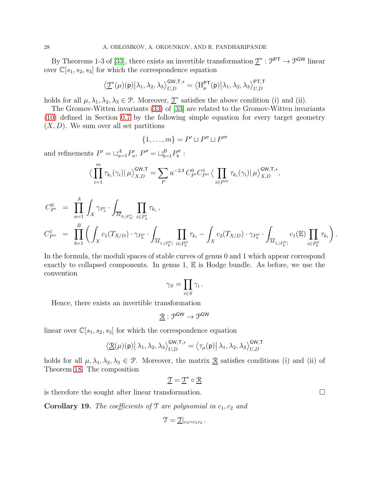By Theorems 1-3 of [\[33\]](#page-37-3), there exists an invertible transformation  $\underline{\mathcal{T}}^* : \mathcal{P}^{\mathsf{PT}} \to \mathcal{P}^{\mathsf{GW}}$  linear over  $\mathbb{C}[s_1, s_2, s_3]$  for which the correspondence equation

$$
\big\langle \underline{\mathbf{T}}^*(\mu)(\mathsf{p})\big|\lambda_1,\lambda_2,\lambda_3\big\rangle_{U,D}^{\mathsf{GW},\mathsf{T},*}=\big\langle \mathrm{H}^{\mathsf{PT}}_{\mu}(\mathsf{p})\big|\lambda_1,\lambda_2,\lambda_3\big\rangle_{U,D}^{\mathsf{PT},\mathsf{T}}
$$

holds for all  $\mu, \lambda_1, \lambda_2, \lambda_3 \in \mathcal{P}$ . Moreover,  $\underline{\mathcal{T}}^*$  satisfies the above condition (i) and (ii).

The Gromov-Witten invariants [\(33\)](#page-26-1) of [\[33\]](#page-37-3) are related to the Gromov-Witten invariants [\(10\)](#page-7-0) defined in Section [0.7](#page-7-2) by the following simple equation for every target geometry  $(X, D)$ . We sum over all set partitions

$$
\{1,\ldots,m\}=P'\sqcup P''\sqcup P'''
$$

and refinements  $P' = \sqcup_{a=1}^A P'_a$ ,  $P'' = \sqcup_{b=1}^B P''_b$ :

$$
\left\langle \prod_{i=1}^m \tau_{k_i}(\gamma_i) \right| \mu \right\rangle_{X,D}^{\mathsf{GW},\mathsf{T}} = \sum_P u^{-2A} C_{P'}^0 C_{P''}^1 \left\langle \prod_{i \in P'''} \tau_{k_i}(\gamma_i) \right| \mu \right\rangle_{X,D}^{\mathsf{GW},\mathsf{T},*},
$$

$$
C_{P'}^0 = \prod_{a=1}^A \int_X \gamma_{P'_a} \cdot \int_{\overline{M}_{0,|P'_a|}} \prod_{i \in P'_a} \tau_{k_i},
$$
  
\n
$$
C_{P''}^1 = \prod_{b=1}^B \left( \int_X c_1(T_{X/D}) \cdot \gamma_{P''_b} \cdot \int_{\overline{M}_{1,|P''_b|}} \prod_{i \in P''_b} \tau_{k_i} - \int_X c_2(T_{X/D}) \cdot \gamma_{P''_b} \cdot \int_{\overline{M}_{1,|P''_b|}} c_1(\mathbb{E}) \prod_{i \in P''_b} \tau_{k_i} \right).
$$

In the formula, the moduli spaces of stable curves of genus 0 and 1 which appear correspond exactly to collapsed components. In genus  $1, \mathbb{E}$  is Hodge bundle. As before, we use the convention

$$
\gamma_S = \prod_{i \in S} \gamma_i \, .
$$

Hence, there exists an invertible transformation

$$
\underline{\mathcal{R}}:\mathcal{P}^{\text{GW}}\to\mathcal{P}^{\text{GW}}
$$

linear over  $\mathbb{C}[s_1, s_2, s_3]$  for which the correspondence equation

$$
\left\langle \underline{\mathcal{R}}(\mu)(\mathsf{p}) \right| \lambda_1, \lambda_2, \lambda_3 \right\rangle_{U,D}^{\mathsf{GW},\mathsf{T},*} = \left\langle \tau_\mu(\mathsf{p}) \right| \lambda_1, \lambda_2, \lambda_3 \right\rangle_{U,D}^{\mathsf{GW},\mathsf{T}}
$$

holds for all  $\mu, \lambda_1, \lambda_2, \lambda_3 \in \mathcal{P}$ . Moreover, the matrix  $\underline{\mathcal{R}}$  satisfies conditions (i) and (ii) of Theorem [18.](#page-26-0) The composition

$$
\underline{\mathfrak{T}} = \underline{\mathfrak{T}}^* \circ \underline{\mathfrak{R}}
$$

is therefore the sought after linear transformation.  $\Box$ 

<span id="page-27-0"></span>**Corollary 19.** The coefficients of  $\mathcal{T}$  are polynomial in  $c_1, c_2$  and

$$
\mathfrak{T}=\underline{\mathfrak{T}}|_{c_3=c_1c_2}.
$$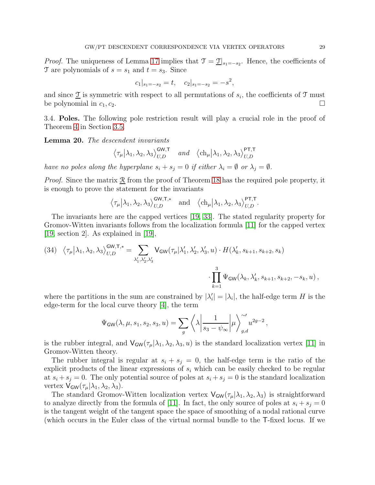*Proof.* The uniqueness of Lemma [17](#page-26-2) implies that  $\mathcal{T} = \mathcal{T}|_{s_1 = -s_2}$ . Hence, the coefficients of T are polynomials of  $s = s_1$  and  $t = s_3$ . Since

$$
c_1|_{s_1=-s_2}=t
$$
,  $c_2|_{s_1=-s_2}=-s^2$ ,

and since  $\underline{\mathfrak{T}}$  is symmetric with respect to all permutations of  $s_i$ , the coefficients of  $\mathfrak{T}$  must be polynomial in  $c_1, c_2$ .

3.4. Poles. The following pole restriction result will play a crucial role in the proof of Theorem [4](#page-7-1) in Section [3.5.](#page-31-0)

<span id="page-28-1"></span>Lemma 20. The descendent invariants

$$
\langle \tau_{\mu} | \lambda_1, \lambda_2, \lambda_3 \rangle_{U,D}^{\text{GW,T}}
$$
 and  $\langle \text{ch}_{\mu} | \lambda_1, \lambda_2, \lambda_3 \rangle_{U,D}^{\text{PT,T}}$ 

have no poles along the hyperplane  $s_i + s_j = 0$  if either  $\lambda_i = \emptyset$  or  $\lambda_j = \emptyset$ .

*Proof.* Since the matrix  $\underline{\mathcal{R}}$  from the proof of Theorem [18](#page-26-0) has the required pole property, it is enough to prove the statement for the invariants

$$
\left\langle \tau_\mu \middle|\lambda_1,\lambda_2,\lambda_3 \right\rangle^{\mathsf{GW},\mathsf{T},*}_{U,D} \quad \text{and} \quad \left\langle \mathrm{ch}_\mu \middle|\lambda_1,\lambda_2,\lambda_3 \right\rangle^{\mathsf{PT},\mathsf{T}}_{U,D}.
$$

The invariants here are the capped vertices [\[19,](#page-37-0) [33\]](#page-37-3). The stated regularity property for Gromov-Witten invariants follows from the localization formula [\[11\]](#page-36-13) for the capped vertex [\[19,](#page-37-0) section 2]. As explained in [\[19\]](#page-37-0),

<span id="page-28-0"></span>(34) 
$$
\langle \tau_{\mu} | \lambda_1, \lambda_2, \lambda_3 \rangle_{U,D}^{\text{GW},\text{T,*}} = \sum_{\lambda_1', \lambda_2', \lambda_3'} V_{\text{GW}}(\tau_{\mu} | \lambda_1', \lambda_2', \lambda_3', u) \cdot H(\lambda_k', s_{k+1}, s_{k+2}, s_k) \cdot \prod_{k=1}^3 \Psi_{\text{GW}}(\lambda_k, \lambda_k', s_{k+1}, s_{k+2}, -s_k, u),
$$

where the partitions in the sum are constrained by  $|\lambda'_i| = |\lambda_i|$ , the half-edge term H is the edge-term for the local curve theory [\[4\]](#page-36-14), the term

$$
\Psi_{\mathsf{GW}}(\lambda,\mu,s_1,s_2,s_3,u) = \sum_g \left\langle \lambda \left| \frac{1}{s_3 - \psi_{\infty}} \right| \mu \right\rangle_{g,d}^{\sim'} u^{2g-2},
$$

is the rubber integral, and  $V_{GW}(\tau_{\mu}|\lambda_1,\lambda_2,\lambda_3,u)$  is the standard localization vertex [\[11\]](#page-36-13) in Gromov-Witten theory.

The rubber integral is regular at  $s_i + s_j = 0$ , the half-edge term is the ratio of the explicit products of the linear expressions of  $s_i$  which can be easily checked to be regular at  $s_i + s_j = 0$ . The only potential source of poles at  $s_i + s_j = 0$  is the standard localization vertex  $V_{GW}(\tau_{\mu}|\lambda_1,\lambda_2,\lambda_3)$ .

The standard Gromov-Witten localization vertex  $V_{GW}(\tau_{\mu}|\lambda_1,\lambda_2,\lambda_3)$  is straightforward to analyze directly from the formula of [\[11\]](#page-36-13). In fact, the only source of poles at  $s_i + s_j = 0$ is the tangent weight of the tangent space the space of smoothing of a nodal rational curve (which occurs in the Euler class of the virtual normal bundle to the T-fixed locus. If we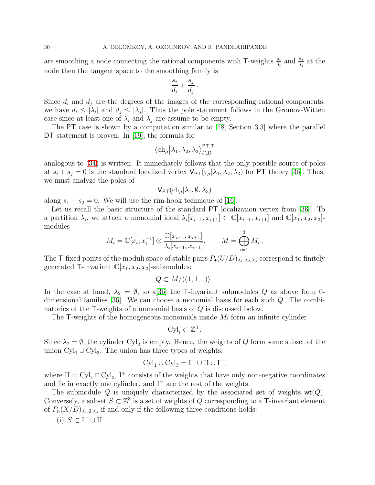are smoothing a node connecting the rational components with T-weights  $\frac{s_i}{d_i}$  and  $\frac{s_j}{d_j}$  at the node then the tangent space to the smoothing family is

$$
\frac{s_i}{d_i} + \frac{s_j}{d_j} \, .
$$

Since  $d_i$  and  $d_j$  are the degrees of the images of the corresponding rational components, we have  $d_i \leq |\lambda_i|$  and  $d_j \leq |\lambda_j|$ . Thus the pole statement follows in the Gromov-Witten case since at least one of  $\lambda_i$  and  $\lambda_j$  are assume to be empty.

The PT case is shown by a computation similar to [\[18,](#page-36-15) Section 3.3] where the parallel DT statement is proven. In [\[19\]](#page-37-0), the formula for

$$
\left\langle \ch_{\mu}\middle|\lambda_{1},\lambda_{2},\lambda_{3}\right\rangle _{U,D}^{\mathsf{PT,T}}
$$

analogous to [\(34\)](#page-28-0) is written. It immediately follows that the only possible source of poles at  $s_i + s_j = 0$  is the standard localized vertex  $\mathsf{V}_{\mathsf{PT}}(\tau_\mu | \lambda_1, \lambda_2, \lambda_3)$  for PT theory [\[36\]](#page-37-18). Thus, we must analyze the poles of

$$
\mathsf{V}_{\mathsf{PT}}(\mathrm{ch}_{\mu}|\lambda_1,\emptyset,\lambda_3)
$$

along  $s_1 + s_2 = 0$ . We will use the rim-hook technique of [\[16\]](#page-36-1).

Let us recall the basic structure of the standard PT localization vertex from [\[36\]](#page-37-18). To a partition  $\lambda_i$ , we attach a monomial ideal  $\lambda_i[x_{i-1}, x_{i+1}] \subset \mathbb{C}[x_{i-1}, x_{i+1}]$  and  $\mathbb{C}[x_1, x_2, x_3]$ modules

$$
M_i = \mathbb{C}[x_i, x_i^{-1}] \otimes \frac{\mathbb{C}[x_{i-1}, x_{i+1}]}{\lambda_i [x_{i-1}, x_{i+1}]}, \qquad M = \bigoplus_{i=1}^3 M_i.
$$

The T-fixed points of the moduli space of stable pairs  $P_{\bullet}(U/D)_{\lambda_1,\lambda_2,\lambda_3}$  correspond to finitely generated T-invariant  $\mathbb{C}[x_1, x_2, x_3]$ -submodules:

$$
Q\subset M/\langle (1,1,1)\rangle .
$$

In the case at hand,  $\lambda_2 = \emptyset$ , so a[\[36\]](#page-37-18) the T-invariant submodules Q as above form 0dimensional families [\[36\]](#page-37-18). We can choose a monomial basis for each such Q. The combinatorics of the T-weights of a monomial basis of Q is discussed below.

The  $\mathsf{T}\text{-weights}$  of the homogeneous monomials inside  $M_i$  form an infinite cylinder

$$
\mathrm{Cyl}_i \subset \mathbb{Z}^3.
$$

Since  $\lambda_2 = \emptyset$ , the cylinder Cyl<sub>2</sub> is empty. Hence, the weights of Q form some subset of the union  $\text{Cyl}_1 \cup \text{Cyl}_3$ . The union has three types of weights:

$$
\text{Cyl}_1 \cup \text{Cyl}_3 = \text{I}^+ \cup \text{II} \cup \text{I}^-,
$$

where  $II = Cyl_1 \cap Cyl_3$ ,  $I^+$  consists of the weights that have only non-negative coordinates and lie in exactly one cylinder, and I<sup>−</sup> are the rest of the weights.

The submodule Q is uniquely characterized by the associated set of weights  $wt(Q)$ . Conversely, a subset  $S \subset \mathbb{Z}^3$  is a set of weights of Q corresponding to a T-invariant element of  $P_n(X/D)_{\lambda_1,\emptyset,\lambda_3}$  if and only if the following three conditions holds:

$$
(i) S \subset I^- \cup II
$$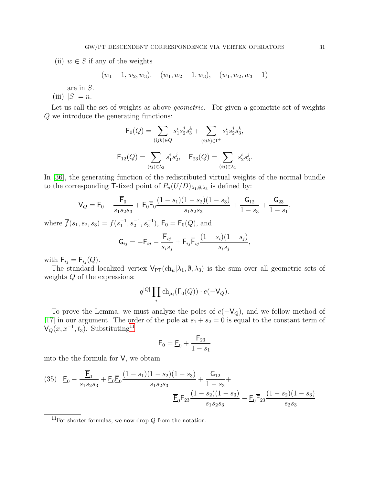(ii)  $w \in S$  if any of the weights

$$
(w_1-1, w_2, w_3), (w_1, w_2-1, w_3), (w_1, w_2, w_3-1)
$$

are in S.

(iii)  $|S| = n$ .

Let us call the set of weights as above *geometric*. For given a geometric set of weights Q we introduce the generating functions:

$$
\mathsf{F}_0(Q) = \sum_{(ijk)\in Q} s_1^i s_2^j s_3^k + \sum_{(ijk)\in \mathcal{I}^+} s_1^i s_2^j s_3^k,
$$

$$
\mathsf{F}_{12}(Q) = \sum_{(ij)\in\lambda_3} s_1^i s_2^j, \quad \mathsf{F}_{23}(Q) = \sum_{(ij)\in\lambda_1} s_2^i s_3^j.
$$

In [\[36\]](#page-37-18), the generating function of the redistributed virtual weights of the normal bundle to the corresponding T-fixed point of  $P_n(U/D)_{\lambda_1,\emptyset,\lambda_3}$  is defined by:

$$
\mathsf{V}_Q = \mathsf{F}_0 - \frac{\overline{\mathsf{F}}_0}{s_1 s_2 s_3} + \mathsf{F}_0 \overline{\mathsf{F}}_0 \frac{(1 - s_1)(1 - s_2)(1 - s_3)}{s_1 s_2 s_3} + \frac{\mathsf{G}_{12}}{1 - s_3} + \frac{\mathsf{G}_{23}}{1 - s_1},
$$

where  $\overline{f}(s_1, s_2, s_3) = f(s_1^{-1}, s_2^{-1}, s_3^{-1}), \, \mathsf{F}_0 = \mathsf{F}_0(Q)$ , and

$$
\mathsf{G}_{ij} = -\mathsf{F}_{ij} - \frac{\overline{\mathsf{F}}_{ij}}{s_i s_j} + \mathsf{F}_{ij} \overline{\mathsf{F}}_{ij} \frac{(1 - s_i)(1 - s_j)}{s_i s_j},
$$

with  $\mathsf{F}_{ij} = \mathsf{F}_{ij}(Q)$ .

The standard localized vertex  $V_{PT}(\text{ch}_{\mu}|\lambda_1,\emptyset,\lambda_3)$  is the sum over all geometric sets of weights  $\boldsymbol{Q}$  of the expressions:

$$
q^{|Q|}\prod_i\mathrm{ch}_{\mu_i}(\mathsf{F}_0(Q))\cdot e(-\mathsf{V}_Q).
$$

To prove the Lemma, we must analyze the poles of  $e(-V_Q)$ , and we follow method of [\[17\]](#page-36-2) in our argument. The order of the pole at  $s_1 + s_2 = 0$  is equal to the constant term of  $\mathsf{V}_Q(x,x^{-1},t_3)$ . Substituting<sup>[11](#page-30-0)</sup>

$$
\mathsf{F}_0 = \underline{\mathsf{F}}_0 + \frac{\mathsf{F}_{23}}{1 - s_1}
$$

into the the formula for V, we obtain

(35) 
$$
\underline{F}_0 - \frac{\overline{F}_0}{s_1 s_2 s_3} + \underline{F}_0 \overline{F}_0 \frac{(1 - s_1)(1 - s_2)(1 - s_3)}{s_1 s_2 s_3} + \frac{G_{12}}{1 - s_3} + \frac{G_{13}}{s_1 s_2 s_3} - \underline{F}_0 \overline{F}_{23} \frac{(1 - s_2)(1 - s_3)}{s_2 s_3}.
$$

<span id="page-30-0"></span><sup>&</sup>lt;sup>11</sup>For shorter formulas, we now drop  $Q$  from the notation.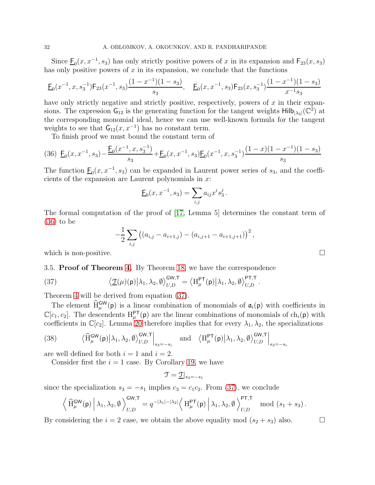Since  $\underline{F}_0(x, x^{-1}, s_3)$  has only strictly positive powers of x in its expansion and  $F_{23}(x, s_3)$ has only positive powers of  $x$  in its expansion, we conclude that the functions

$$
\underline{\mathsf{F}}_0(x^{-1}, x, s_3^{-1}) \mathsf{F}_{23}(x^{-1}, s_3) \frac{(1 - x^{-1})(1 - s_3)}{s_3}, \quad \underline{\mathsf{F}}_0(x, x^{-1}, s_3) \mathsf{F}_{23}(x, s_3^{-1}) \frac{(1 - x^{-1})(1 - s_3)}{x^{-1} s_3}
$$

have only strictly negative and strictly positive, respectively, powers of  $x$  in their expansions. The expression  $G_{12}$  is the generating function for the tangent weights  $\text{Hilb}_{|\lambda_3|}(\mathbb{C}^2)$  at the corresponding monomial ideal, hence we can use well-known formula for the tangent weights to see that  $G_{12}(x, x^{-1})$  has no constant term.

To finish proof we must bound the constant term of

$$
(36)\ \ \underline{\mathsf{F}}_0(x,x^{-1},s_3) - \frac{\underline{\mathsf{F}}_0(x^{-1},x,s_3^{-1})}{s_3} + \underline{\mathsf{F}}_0(x,x^{-1},s_3)\underline{\mathsf{F}}_0(x^{-1},x,s_3^{-1})\frac{(1-x)(1-x^{-1})(1-s_3)}{s_3}
$$

The function  $\underline{F}_0(x, x^{-1}, s_3)$  can be expanded in Laurent power series of  $s_3$ , and the coefficients of the expansion are Laurent polynomials in  $x$ :

<span id="page-31-1"></span>
$$
\underline{\mathsf{F}}_0(x, x^{-1}, s_3) = \sum_{i,j} a_{ij} x^i s_3^j.
$$

The formal computation of the proof of [\[17,](#page-36-2) Lemma 5] determines the constant term of [\(36\)](#page-31-1) to be

$$
-\frac{1}{2}\sum_{i,j}\left((a_{i,j}-a_{i+1,j})-(a_{i,j+1}-a_{i+1,j+1})\right)^2,
$$

<span id="page-31-0"></span>which is non-positive.  $\Box$ 

3.5. Proof of Theorem [4.](#page-7-1) By Theorem [18,](#page-26-0) we have the correspondence

(37) 
$$
\langle \underline{\mathfrak{T}}(\mu)(\mathsf{p}) \big| \lambda_1, \lambda_2, \emptyset \rangle_{U,D}^{\mathsf{GW}, \mathsf{T}} = \langle \mathrm{H}_{\mu}^{\mathsf{PT}}(\mathsf{p}) \big| \lambda_1, \lambda_2, \emptyset \rangle_{U,D}^{\mathsf{PT}, \mathsf{T}}.
$$

Theorem [4](#page-7-1) will be derived from equation [\(37\)](#page-31-2).

The element  $\widehat{H}^{\text{GW}}_{\mu}(\mathsf{p})$  is a linear combination of monomials of  $\mathfrak{a}_i(\mathsf{p})$  with coefficients in  $\mathbb{C}[c_1, c_2]$ . The descendents  $H^{\mathsf{PT}}_{\mu}(\mathsf{p})$  are the linear combinations of monomials of  $ch_i(\mathsf{p})$  with coefficients in  $\mathbb{C}[c_2]$ . Lemma [20](#page-28-1) therefore implies that for every  $\lambda_1, \lambda_2$ , the specializations

(38) 
$$
\langle \hat{H}_{\mu}^{\text{GW}}(\mathbf{p}) | \lambda_1, \lambda_2, \emptyset \rangle_{U,D}^{\text{GW}, \mathsf{T}} \Big|_{s_3 = -s_i}
$$
 and  $\langle H_{\mu}^{\text{PT}}(\mathbf{p}) | \lambda_1, \lambda_2, \emptyset \rangle_{U,D}^{\text{GW}, \mathsf{T}} \Big|_{s_3 = -s_i}$ 

are well defined for both  $i = 1$  and  $i = 2$ .

Consider first the  $i = 1$  case. By Corollary [19,](#page-27-0) we have

$$
\mathfrak{T} = \underline{\mathfrak{T}}|_{s_3 = -s_1}
$$

since the specialization  $s_3 = -s_1$  implies  $c_3 = c_1 c_2$ . From [\(37\)](#page-31-2), we conclude

$$
\left\langle \left. \widehat{\mathrm{H}}_{\mu}^{\mathsf{GW}}(\mathsf{p}) \,\right\vert \lambda_1, \lambda_2, \emptyset \right\rangle_{U,D}^{\mathsf{GW},\mathsf{T}} = q^{-|\lambda_1|-|\lambda_2|} \left\langle \left. \mathrm{H}_{\mu}^{\mathsf{PT}}(\mathsf{p}) \,\right\vert \lambda_1, \lambda_2, \emptyset \right\rangle_{U,D}^{\mathsf{PT},\mathsf{T}} \mod(s_1+s_3) \, .
$$

By considering the  $i = 2$  case, we obtain the above equality mod  $(s_2 + s_3)$  also.

<span id="page-31-2"></span>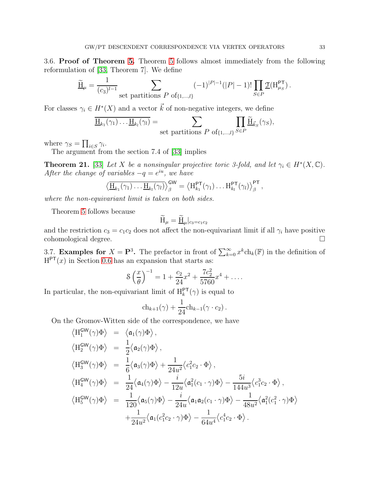3.6. Proof of Theorem [5.](#page-8-1) Theorem [5](#page-8-1) follows almost immediately from the following reformulation of [\[33,](#page-37-3) Theorem 7]. We define

$$
\underline{\widetilde{H}}_{\mu} = \frac{1}{(c_3)^{l-1}} \sum_{\text{set partitions } P \text{ of } \{1,\dots,l\}} (-1)^{|P|-1} (|P|-1)! \prod_{S \in P} \underline{\mathfrak{T}}(H_{\mu_S}^{\text{PT}}).
$$

For classes  $\gamma_i \in H^*(X)$  and a vector  $\vec{k}$  of non-negative integers, we define

$$
\underline{\overline{H}_{k_1}(\gamma_1)\dots\underline{H}_{k_l}(\gamma_l)} = \sum_{\text{set partitions } P \text{ of } \{1,\dots,l\}} \prod_{S \in P} \underline{\widetilde{H}}_{\vec{k}_S}(\gamma_S),
$$

where  $\gamma_S = \prod_{i \in S} \gamma_i$ .

The argument from the section 7.4 of [\[33\]](#page-37-3) implies

**Theorem 21.** [\[33\]](#page-37-3) Let X be a nonsingular projective toric 3-fold, and let  $\gamma_i \in H^*(X, \mathbb{C})$ . After the change of variables  $-q = e^{iu}$ , we have

$$
\left\langle \overline{\underline{H}_{k_1}(\gamma_1)\ldots\underline{H}_{k_l}(\gamma_l)}\right\rangle_{\beta}^{GW} = \left\langle H_{k_1}^{PT}(\gamma_1)\ldots H_{k_l}^{PT}(\gamma_l)\right\rangle_{\beta}^{PT},
$$

where the non-equivariant limit is taken on both sides.

Theorem [5](#page-8-1) follows because

$$
\widetilde{\mathbf{H}}_{\mu} = \underline{\widetilde{\mathbf{H}}}_{\mu}|_{c_3 = c_1 c_2}
$$

and the restriction  $c_3 = c_1 c_2$  does not affect the non-equivariant limit if all  $\gamma_i$  have positive cohomological degree.

<span id="page-32-0"></span>3.7. **Examples for**  $X = \mathbf{P}^3$ . The prefactor in front of  $\sum_{k=0}^{\infty} x^k ch_k(\mathbb{F})$  in the definition of  $H<sup>PT</sup>(x)$  in Section [0.6](#page-5-1) has an expansion that starts as:

$$
\mathcal{S}\left(\frac{x}{\theta}\right)^{-1} = 1 + \frac{c_2}{24}x^2 + \frac{7c_2^2}{5760}x^4 + \dots
$$

In particular, the non-equivariant limit of  $H_k^{\text{PT}}(\gamma)$  is equal to

$$
ch_{k+1}(\gamma) + \frac{1}{24}ch_{k-1}(\gamma \cdot c_2).
$$

On the Gromov-Witten side of the correspondence, we have

$$
\langle H_1^{\text{GW}}(\gamma)\Phi\rangle = \langle \mathfrak{a}_1(\gamma)\Phi\rangle,
$$
  
\n
$$
\langle H_2^{\text{GW}}(\gamma)\Phi\rangle = \frac{1}{2}\langle \mathfrak{a}_2(\gamma)\Phi\rangle,
$$
  
\n
$$
\langle H_3^{\text{GW}}(\gamma)\Phi\rangle = \frac{1}{6}\langle \mathfrak{a}_3(\gamma)\Phi\rangle + \frac{1}{24u^2}\langle c_1^2c_2 \cdot \Phi\rangle,
$$
  
\n
$$
\langle H_4^{\text{GW}}(\gamma)\Phi\rangle = \frac{1}{24}\langle \mathfrak{a}_4(\gamma)\Phi\rangle - \frac{i}{12u}\langle \mathfrak{a}_1^2(c_1 \cdot \gamma)\Phi\rangle - \frac{5i}{144u^3}\langle c_1^3c_2 \cdot \Phi\rangle,
$$
  
\n
$$
\langle H_5^{\text{GW}}(\gamma)\Phi\rangle = \frac{1}{120}\langle \mathfrak{a}_5(\gamma)\Phi\rangle - \frac{i}{24u}\langle \mathfrak{a}_1\mathfrak{a}_2(c_1 \cdot \gamma)\Phi\rangle - \frac{1}{48u^2}\langle \mathfrak{a}_1^2(c_1^2 \cdot \gamma)\Phi\rangle
$$
  
\n
$$
+ \frac{1}{24u^2}\langle \mathfrak{a}_1(c_1^2c_2 \cdot \gamma)\Phi\rangle - \frac{1}{64u^4}\langle c_1^4c_2 \cdot \Phi\rangle.
$$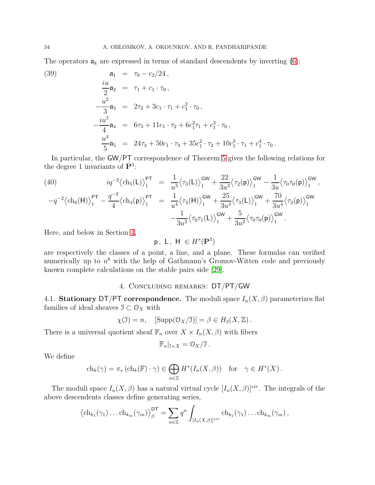The operators  $a_k$  are expressed in terms of standard descendents by inverting [\(6\)](#page-6-3):

(39) 
$$
\mathfrak{a}_1 = \tau_0 - c_2/24,
$$
  
\n
$$
\frac{iu}{2} \mathfrak{a}_2 = \tau_1 + c_1 \cdot \tau_0,
$$
  
\n
$$
-\frac{u^2}{3} \mathfrak{a}_3 = 2\tau_2 + 3c_1 \cdot \tau_1 + c_1^2 \cdot \tau_0,
$$
  
\n
$$
\frac{iu^3}{4} \mathfrak{a}_4 = 6\tau_3 + 11c_1 \cdot \tau_2 + 6c_1^2 \tau_1 + c_1^3 \cdot \tau_0,
$$
  
\n
$$
\frac{u^4}{5} \mathfrak{a}_5 = 24\tau_4 + 50c_1 \cdot \tau_3 + 35c_1^2 \cdot \tau_2 + 10c_1^3 \cdot \tau_1 + c_1^4 \cdot \tau_0.
$$

In particular, the GW/PT correspondence of Theorem [5](#page-8-1) gives the following relations for the degree 1 invariants of  $\mathbf{P}^3$ :

(40) 
$$
iq^{-2} \langle ch_5(\mathsf{L}) \rangle_1^{\mathsf{PT}} = \frac{1}{u^3} \langle \tau_3(\mathsf{L}) \rangle_1^{\mathsf{GW}} + \frac{22}{3u^3} \langle \tau_2(\mathsf{p}) \rangle_1^{\mathsf{GW}} - \frac{1}{3u} \langle \tau_0 \tau_0(\mathsf{p}) \rangle_1^{\mathsf{GW}},
$$

$$
-q^{-2} \langle ch_6(\mathsf{H}) \rangle^{\mathsf{PT}} - \frac{q^{-2}}{2} \langle ch_4(\mathsf{p}) \rangle^{\mathsf{PT}} = \frac{1}{2} \langle \tau_4(\mathsf{H}) \rangle^{\mathsf{GW}} + \frac{25}{3u} \langle \tau_3(\mathsf{L}) \rangle^{\mathsf{GW}} + \frac{70}{3u} \langle \tau_2(\mathsf{p}) \rangle^{\mathsf{GW}}
$$

$$
-q^{-2} \langle ch_6(H) \rangle_1^{\text{PT}} - \frac{q^{-2}}{4} \langle ch_4(\mathsf{p}) \rangle_1^{\text{PT}} = \frac{1}{u^4} \langle \tau_4(H) \rangle_1^{\text{GW}} + \frac{25}{3u^4} \langle \tau_3(L) \rangle_1^{\text{GW}} + \frac{70}{3u^4} \langle \tau_2(\mathsf{p}) \rangle_1^{\text{GW}} -\frac{1}{3u^2} \langle \tau_0 \tau_1(L) \rangle_1^{\text{GW}} + \frac{5}{3u^2} \langle \tau_0 \tau_0(\mathsf{p}) \rangle_1^{\text{GW}}.
$$

Here, and below in Section [4,](#page-33-0)

# $p, L, H \in H^*(\mathbf{P}^3)$

are respectively the classes of a point, a line, and a plane. These formulas can verified numerically up to  $u^8$  with the help of Gathmann's Gromov-Witten code and previously known complete calculations on the stable pairs side [\[29\]](#page-37-6).

#### 4. Concluding remarks: DT/PT/GW

<span id="page-33-0"></span>4.1. Stationary DT/PT correspondence. The moduli space  $I_n(X, \beta)$  parameterizes flat families of ideal sheaves  $\mathfrak{I} \subset \mathcal{O}_X$  with

$$
\chi(\mathfrak{I}) = n, \quad \text{[Supp}(\mathfrak{O}_X/\mathfrak{I})] = \beta \in H_2(X, \mathbb{Z}).
$$

There is a universal quotient sheaf  $\mathbb{F}_n$  over  $X \times I_n(X, \beta)$  with fibers

$$
\mathbb{F}_n|_{\mathfrak{I}\times X}=\mathfrak{O}_X/\mathfrak{I}\,.
$$

We define

$$
ch_k(\gamma) = \pi_* \left( ch_k(\mathbb{F}) \cdot \gamma \right) \in \bigoplus_{n \in \mathbb{Z}} H^*(I_n(X, \beta)) \quad \text{for} \quad \gamma \in H^*(X) .
$$

The moduli space  $I_n(X, \beta)$  has a natural virtual cycle  $[I_n(X, \beta)]^{vir}$ . The integrals of the above descendents classes define generating series,

$$
\left\langle \mathrm{ch}_{k_1}(\gamma_1)\dots \mathrm{ch}_{k_m}(\gamma_m) \right\rangle_{\beta}^{\mathsf{DT}} = \sum_{n \in \mathbb{Z}} q^n \int_{[I_n(X,\beta)]^{vir}} \mathrm{ch}_{k_1}(\gamma_1)\dots \mathrm{ch}_{k_m}(\gamma_m),
$$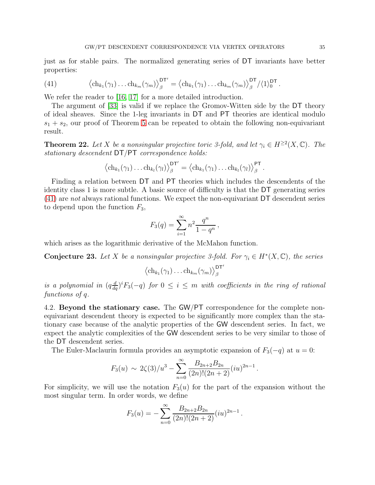<span id="page-34-0"></span>just as for stable pairs. The normalized generating series of DT invariants have better properties:

(41) 
$$
\left\langle \mathrm{ch}_{k_1}(\gamma_1)\dots \mathrm{ch}_{k_m}(\gamma_m) \right\rangle_{\beta}^{\mathsf{DT}'} = \left\langle \mathrm{ch}_{k_1}(\gamma_1)\dots \mathrm{ch}_{k_m}(\gamma_m) \right\rangle_{\beta}^{\mathsf{DT}} / \langle 1 \rangle_0^{\mathsf{DT}}
$$

We refer the reader to [\[16,](#page-36-1) [17\]](#page-36-2) for a more detailed introduction.

The argument of [\[33\]](#page-37-3) is valid if we replace the Gromov-Witten side by the DT theory of ideal sheaves. Since the 1-leg invariants in DT and PT theories are identical modulo  $s_1 + s_2$ , our proof of Theorem [5](#page-8-1) can be repeated to obtain the following non-equivariant result.

**Theorem 22.** Let X be a nonsingular projective toric 3-fold, and let  $\gamma_i \in H^{\geq 2}(X, \mathbb{C})$ . The stationary descendent DT/PT correspondence holds:

$$
\langle \mathrm{ch}_{k_1}(\gamma_1) \dots \mathrm{ch}_{k_l}(\gamma_l) \rangle_{\beta}^{\mathsf{DT}'} = \langle \mathrm{ch}_{k_1}(\gamma_1) \dots \mathrm{ch}_{k_l}(\gamma_l) \rangle_{\beta}^{\mathsf{PT}}.
$$

Finding a relation between DT and PT theories which includes the descendents of the identity class 1 is more subtle. A basic source of difficulty is that the DT generating series [\(41\)](#page-34-0) are not always rational functions. We expect the non-equivariant DT descendent series to depend upon the function  $F_3$ ,

$$
F_3(q) = \sum_{i=1}^{\infty} n^2 \frac{q^n}{1 - q^n},
$$

which arises as the logarithmic derivative of the McMahon function.

<span id="page-34-1"></span>**Conjecture 23.** Let X be a nonsingular projective 3-fold. For  $\gamma_i \in H^*(X, \mathbb{C})$ , the series

$$
\left\langle \mathrm{ch}_{k_1}(\gamma_1)\dots \mathrm{ch}_{k_m}(\gamma_m) \right\rangle_\beta^{\mathsf{DT}'}
$$

is a polynomial in  $(q\frac{d}{dq})$ <sup>i</sup> $F_3(-q)$  for  $0 \leq i \leq m$  with coefficients in the ring of rational functions of q.

4.2. Beyond the stationary case. The GW/PT correspondence for the complete nonequivariant descendent theory is expected to be significantly more complex than the stationary case because of the analytic properties of the GW descendent series. In fact, we expect the analytic complexities of the GW descendent series to be very similar to those of the DT descendent series.

The Euler-Maclaurin formula provides an asymptotic expansion of  $F_3(-q)$  at  $u = 0$ :

$$
F_3(u) \sim 2\zeta(3)/u^3 - \sum_{n=0}^{\infty} \frac{B_{2n+2}B_{2n}}{(2n)!(2n+2)} (iu)^{2n-1}.
$$

For simplicity, we will use the notation  $F_3(u)$  for the part of the expansion without the most singular term. In order words, we define

$$
F_3(u) = -\sum_{n=0}^{\infty} \frac{B_{2n+2}B_{2n}}{(2n)!(2n+2)} (iu)^{2n-1}.
$$

.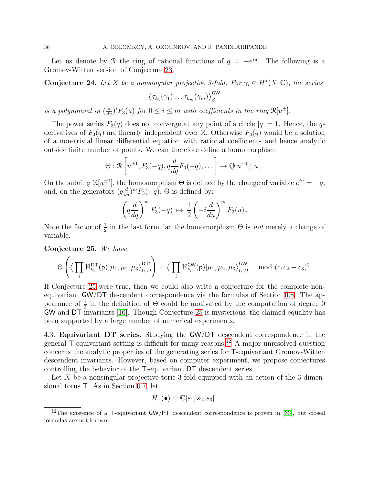Let us denote by R the ring of rational functions of  $q = -e^{iu}$ . The following is a Gromov-Witten version of Conjecture [23.](#page-34-1)

**Conjecture 24.** Let X be a nonsingular projective 3-fold. For  $\gamma_i \in H^*(X, \mathbb{C})$ , the series

$$
\left\langle \tau_{k_1}(\gamma_1)\dots\tau_{k_m}(\gamma_m)\right\rangle_\beta^{\text{GW}}
$$

is a polynomial in  $\left(\frac{d}{du}\right)^i F_3(u)$  for  $0 \le i \le m$  with coefficients in the ring  $\mathcal{R}[u^{\pm}]$ .

The power series  $F_3(q)$  does not converge at any point of a circle  $|q|=1$ . Hence, the qderivatives of  $F_3(q)$  are linearly independent over R. Otherwise  $F_3(q)$  would be a solution of a non-trivial linear differential equation with rational coefficients and hence analytic outside finite number of points. We can therefore define a homomorphism

$$
\Theta: \mathcal{R}\left[u^{\pm 1}, F_3(-q), q\frac{d}{dq}F_3(-q), \dots\right] \to \mathbb{Q}[u^{-1}][[u]].
$$

On the subring  $\mathcal{R}[u^{\pm 1}]$ , the homomorphism  $\Theta$  is defined by the change of variable  $e^{iu} = -q$ , and, on the generators  $(q\frac{d}{dq})^m F_3(-q)$ ,  $\Theta$  is defined by:

$$
\left(q\frac{d}{dq}\right)^m F_3(-q) \mapsto \frac{1}{2}\left(-i\frac{d}{du}\right)^m F_3(u).
$$

Note the factor of  $\frac{1}{2}$  in the last formula: the homomorphism  $\Theta$  is *not* merely a change of variable.

<span id="page-35-0"></span>Conjecture 25. We have

$$
\Theta\left(\big\langle\prod_i\mathrm{H}^{\mathrm{DT}}_{k_i}(\mathsf{p})\big|\mu_1,\mu_2,\mu_3\big\rangle_{U,D}^{\mathrm{DT}'}\right)=\big\langle\prod_i\mathrm{H}^{\mathrm{GW}}_{k_i}(\mathsf{p})\big|\mu_1,\mu_2,\mu_3\big\rangle_{U,D}^{\mathrm{GW}}\mod{(c_1c_2-c_3)^2}.
$$

If Conjecture [25](#page-35-0) were true, then we could also write a conjecture for the complete nonequivariant GW/DT descendent correspondence via the formulas of Section [0.8.](#page-8-3) The appearance of  $\frac{1}{2}$  in the definition of  $\Theta$  could be motivated by the computation of degree 0 GW and DT invariants [\[16\]](#page-36-1). Though Conjecture [25](#page-35-0) is mysterious, the claimed equality has been supported by a large number of numerical experiments.

4.3. Equivariant DT series. Studying the GW/DT descendent correspondence in the general T-equivariant setting is difficult for many reasons.[12](#page-35-1) A major unresolved question concerns the analytic properties of the generating series for T-equivariant Gromov-Witten descendent invariants. However, based on computer experiment, we propose conjectures controlling the behavior of the T-equivariant DT descendent series.

Let X be a nonsingular projective toric 3-fold equipped with an action of the 3 dimensional torus T. As in Section [0.7,](#page-7-2) let

$$
H_{\mathsf{T}}(\bullet) = \mathbb{C}[s_1, s_2, s_3].
$$

<span id="page-35-1"></span><sup>&</sup>lt;sup>12</sup>The existence of a T-equivariant  $GW/PT$  descendent correspondence is proven in [\[33\]](#page-37-3), but closed formulas are not known.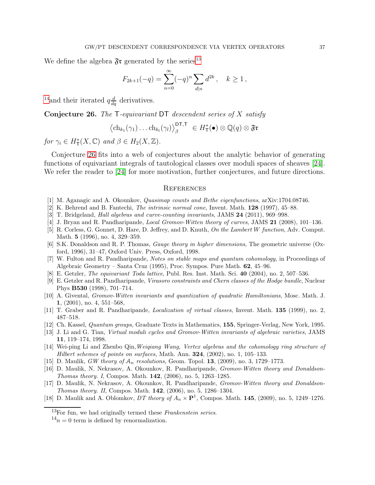We define the algebra  $\mathfrak{F}$ **r** generated by the series<sup>[13](#page-36-16)</sup>

$$
F_{2k+1}(-q) = \sum_{n=0}^{\infty} (-q)^n \sum_{d|n} d^{2k}, \quad k \ge 1,
$$

<sup>[14](#page-36-17)</sup> and their iterated  $q\frac{d}{dq}$  derivatives.

<span id="page-36-18"></span>**Conjecture 26.** The  $\mathsf{T}\text{-}$ -equivariant DT descendent series of X satisfy

$$
\langle \mathrm{ch}_{k_1}(\gamma_1) \dots \mathrm{ch}_{k_l}(\gamma_l) \rangle_{\beta}^{\mathsf{DT},\mathsf{T}} \in H_{\mathsf{T}}^{\ast}(\bullet) \otimes \mathbb{Q}(q) \otimes \mathfrak{F}^{\ast}
$$

for  $\gamma_i \in H^*_\mathsf{T}(X,\mathbb{C})$  and  $\beta \in H_2(X,\mathbb{Z})$ .

Conjecture [26](#page-36-18) fits into a web of conjectures about the analytic behavior of generating functions of equivariant integrals of tautological classes over moduli spaces of sheaves [\[24\]](#page-37-19). We refer the reader to [\[24\]](#page-37-19) for more motivation, further conjectures, and future directions.

#### <span id="page-36-0"></span>**REFERENCES**

- <span id="page-36-10"></span><span id="page-36-4"></span>[1] M. Aganagic and A. Okounkov, *Quasimap counts and Bethe eigenfunctions*, arXiv:1704.08746.
- <span id="page-36-3"></span>[2] K. Behrend and B. Fantechi, *The intrinsic normal cone,* Invent. Math. 128 (1997), 45–88.
- <span id="page-36-14"></span>[3] T. Bridgeland, *Hall algebras and curve-counting invariants*, JAMS 24 (2011), 969–998.
- [4] J. Bryan and R. Pandharipande, *Local Gromov-Witten theory of curves*, JAMS 21 (2008), 101–136.
- [5] R. Corless, G. Gonnet, D. Hare, D. Jeffrey, and D. Knuth, *On the Lambert* W *function*, Adv. Comput. Math. 5 (1996), no. 4, 329–359.
- [6] S.K. Donaldson and R. P. Thomas, *Gauge theory in higher dimensions*, The geometric universe (Oxford, 1996), 31–47, Oxford Univ. Press, Oxford, 1998.
- <span id="page-36-5"></span>[7] W. Fulton and R. Pandharipande, *Notes on stable maps and quantum cohomology*, in Proceedings of Algebraic Geometry – Santa Cruz (1995), Proc. Sympos. Pure Math. 62, 45–96.
- <span id="page-36-12"></span><span id="page-36-9"></span>[8] E. Getzler, *The equivariant Toda lattice*, Publ. Res. Inst. Math. Sci. 40 (2004), no. 2, 507–536.
- [9] E. Getzler and R. Pandharipande, *Virasoro constraints and Chern classes of the Hodge bundle*, Nuclear Phys B530 (1998), 701–714.
- <span id="page-36-7"></span>[10] A. Givental, *Gromov-Witten invariants and quantization of quadratic Hamiltonians*, Mosc. Math. J. 1, (2001), no. 4, 551–568,
- <span id="page-36-13"></span><span id="page-36-8"></span>[11] T. Graber and R. Pandharipande, *Localization of virtual classes*, Invent. Math. 135 (1999), no. 2, 487–518.
- <span id="page-36-6"></span>[12] Ch. Kassel, *Quantum groups,* Graduate Texts in Mathematics, 155, Springer-Verlag, New York, 1995.
- [13] J. Li and G. Tian, *Virtual moduli cycles and Gromov-Witten invariants of algebraic varieties,* JAMS 11, 119–174, 1998.
- <span id="page-36-11"></span>[14] Wei-ping Li and Zhenbo Qin,*Weiqiang Wang, Vertex algebras and the cohomology ring structure of Hilbert schemes of points on surfaces,* Math. Ann. 324, (2002), no. 1, 105–133.
- <span id="page-36-1"></span>[15] D. Maulik, *GW theory of* A<sup>n</sup> *resolutions,* Geom. Topol. 13, (2009), no. 3, 1729–1773.
- [16] D. Maulik, N. Nekrasov, A. Okounkov, R. Pandharipande, *Gromov-Witten theory and Donaldson-Thomas theory. I*, Compos. Math. 142, (2006), no. 5, 1263–1285.
- <span id="page-36-2"></span>[17] D. Maulik, N. Nekrasov, A. Okounkov, R. Pandharipande, *Gromov-Witten theory and Donaldson-Thomas theory. II,* Compos. Math. 142, (2006), no. 5, 1286–1304.
- <span id="page-36-15"></span>[18] D. Maulik and A. Oblomkov, *DT theory of*  $A_n \times \mathbf{P}^1$ , Compos. Math. **145**, (2009), no. 5, 1249–1276.

<sup>13</sup>For fun, we had originally termed these *Frankenstein series*.

<span id="page-36-17"></span><span id="page-36-16"></span> $14n = 0$  term is defined by renormalization.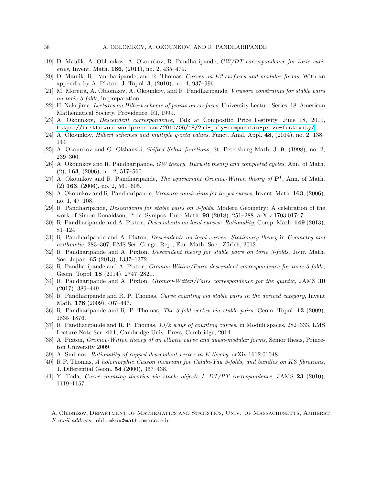- <span id="page-37-16"></span><span id="page-37-0"></span>[19] D. Maulik, A. Oblomkov, A. Okounkov, R. Pandharipande, *GW/DT correspondence for toric varieties,* Invent. Math. 186, (2011), no. 2, 435–479.
- <span id="page-37-13"></span>[20] D. Maulik, R. Pandharipande, and R. Thomas, *Curves on K3 surfaces and modular forms,* With an appendix by A. Pixton. J. Topol. 3, (2010), no. 4, 937–996.
- [21] M. Moreira, A. Oblomkov, A. Okounkov, and R. Pandharipande, *Virasoro constraints for stable pairs on toric 3-folds*, in preparation.
- <span id="page-37-14"></span>[22] H. Nakajima, *Lectures on Hilbert scheme of points on surfaces,* University Lecture Series, 18. American Mathematical Society, Providence, RI, 1999.
- <span id="page-37-19"></span>[23] A. Okounkov, *Descendent correspondence*, Talk at Compositio Prize Festivity, June 18, 2010, <https://burttotaro.wordpress.com/2010/06/18/2nd-july-compositio-prize-festivity/>.
- <span id="page-37-17"></span>[24] A. Okounkov, *Hilbert schemes and multiple q-zeta values,* Funct. Anal. Appl. 48, (2014), no. 2, 138– 144
- [25] A. Okounkov and G. Olshanski, *Shifted Schur functions,* St. Petersburg Math. J. 9, (1998), no. 2, 239–300.
- [26] A. Okounkov and R. Pandharipande, *GW theory, Hurwitz theory and completed cycles,* Ann. of Math. (2), 163, (2006), no. 2, 517–560.
- <span id="page-37-1"></span>[27] A. Okounkov and R. Pandharipande, *The equivariant Gromov-Witten theory of* P<sup>1</sup> *,* Ann. of Math. (2) 163, (2006), no. 2, 561–605.
- <span id="page-37-2"></span>[28] A. Okounkov and R. Pandharipande, *Virasoro constraints for target curves,* Invent. Math. 163, (2006), no. 1, 47–108.
- <span id="page-37-6"></span>[29] R. Pandharipande, *Descendents for stable pairs on 3-folds*, Modern Geometry: A celebration of the work of Simon Donaldson, Proc. Sympos. Pure Math. 99 (2018), 251–288. arXiv:1703.01747.
- <span id="page-37-10"></span><span id="page-37-9"></span>[30] R. Pandharipande and A. Pixton, *Descendents on local curves: Rationality*, Comp. Math. 149 (2013), 81–124.
- [31] R. Pandharipande and A. Pixton, *Descendents on local curves: Stationary theory* in *Geometry and arithmetic*, 283–307, EMS Ser. Congr. Rep., Eur. Math. Soc., Zürich, 2012.
- <span id="page-37-11"></span>[32] R. Pandharipande and A. Pixton, *Descendent theory for stable pairs on toric 3-folds*, Jour. Math. Soc. Japan. 65 (2013), 1337–1372.
- <span id="page-37-3"></span>[33] R. Pandharipande and A. Pixton, *Gromov-Witten/Pairs descendent correspondence for toric 3-folds*, Geom. Topol. 18 (2014), 2747–2821.
- <span id="page-37-4"></span>[34] R. Pandharipande and A. Pixton, *Gromov-Witten/Pairs correspondence for the quintic*, JAMS 30 (2017), 389–449.
- <span id="page-37-5"></span>[35] R. Pandharipande and R. P. Thomas, *Curve counting via stable pairs in the derived category*, Invent Math. **178** (2009), 407-447.
- <span id="page-37-18"></span><span id="page-37-7"></span>[36] R. Pandharipande and R. P. Thomas, *The 3-fold vertex via stable pairs*, Geom. Topol. 13 (2009), 1835–1876.
- [37] R. Pandharipande and R. P. Thomas, *13/2 ways of counting curves*, in Moduli spaces, 282–333, LMS Lecture Note Ser. 411, Cambridge Univ. Press, Cambridge, 2014.
- <span id="page-37-12"></span>[38] A. Pixton, *Gromov-Witten theory of an elliptic curve and quasi-modular forms*, Senior thesis, Princeton University 2009.
- <span id="page-37-15"></span>[39] A. Smirnov, *Rationality of capped descendent vertex in K-theory*, arXiv:1612.01048.
- [40] R.P. Thomas, *A holomorphic Casson invariant for Calabi-Yau 3-folds, and bundles on* K3 *fibrations*, J. Differential Geom. 54 (2000), 367–438.
- <span id="page-37-8"></span>[41] Y. Toda, *Curve counting theories via stable objects I: DT/PT correspondence*, JAMS 23 (2010), 1119–1157.

A. Oblomkov, Department of Mathematics and Statistics, Univ. of Massachusetts, Amherst *E-mail address:* oblomkov@math.umass.edu